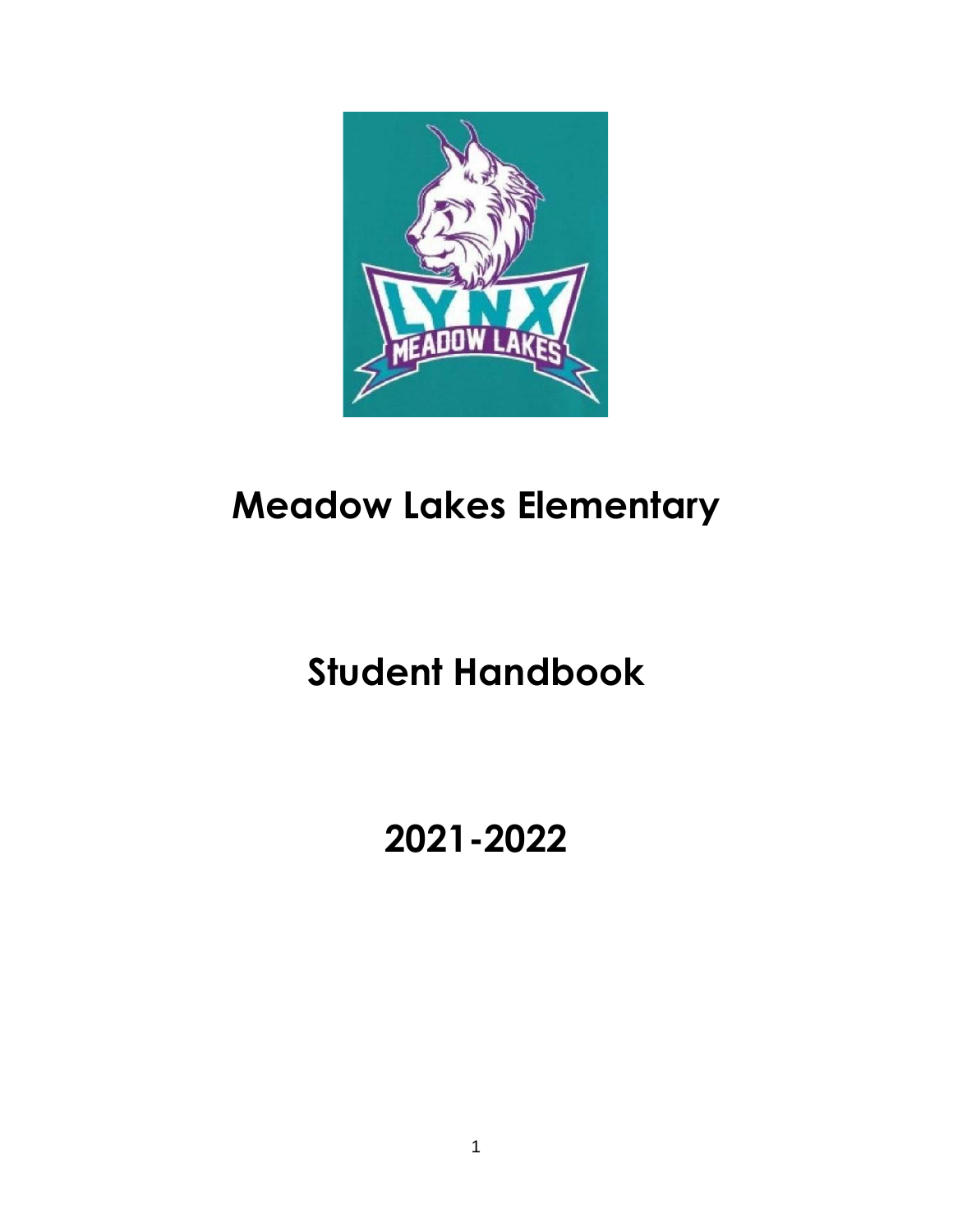

# **Meadow Lakes Elementary**

# **Student Handbook**

# **2021-2022**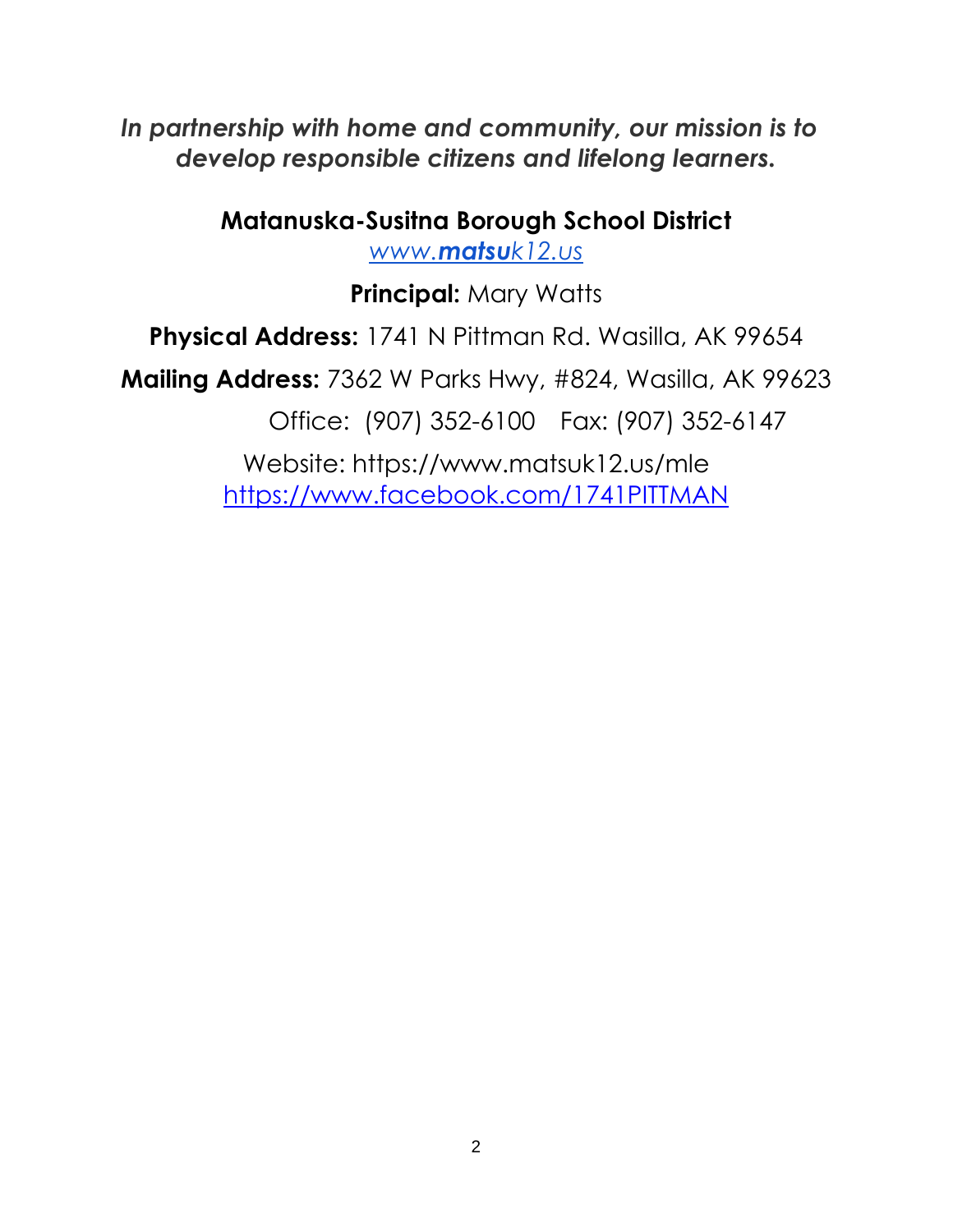*In partnership with home and community, our mission is to develop responsible citizens and lifelong learners.*

**Matanuska-Susitna Borough School District**

*[www.](http://www.matsuk12.us/)[matsu](http://www.matsuk12.us/)[k12.us](http://www.matsuk12.us/)*

**Principal:** Mary Watts

**Physical Address:** 1741 N Pittman Rd. Wasilla, AK 99654

**Mailing Address:** 7362 W Parks Hwy, #824, Wasilla, AK 99623

Office: (907) 352-6100 Fax: (907) 352-6147

Website: https://www.matsuk12.us/mle <https://www.facebook.com/1741PITTMAN>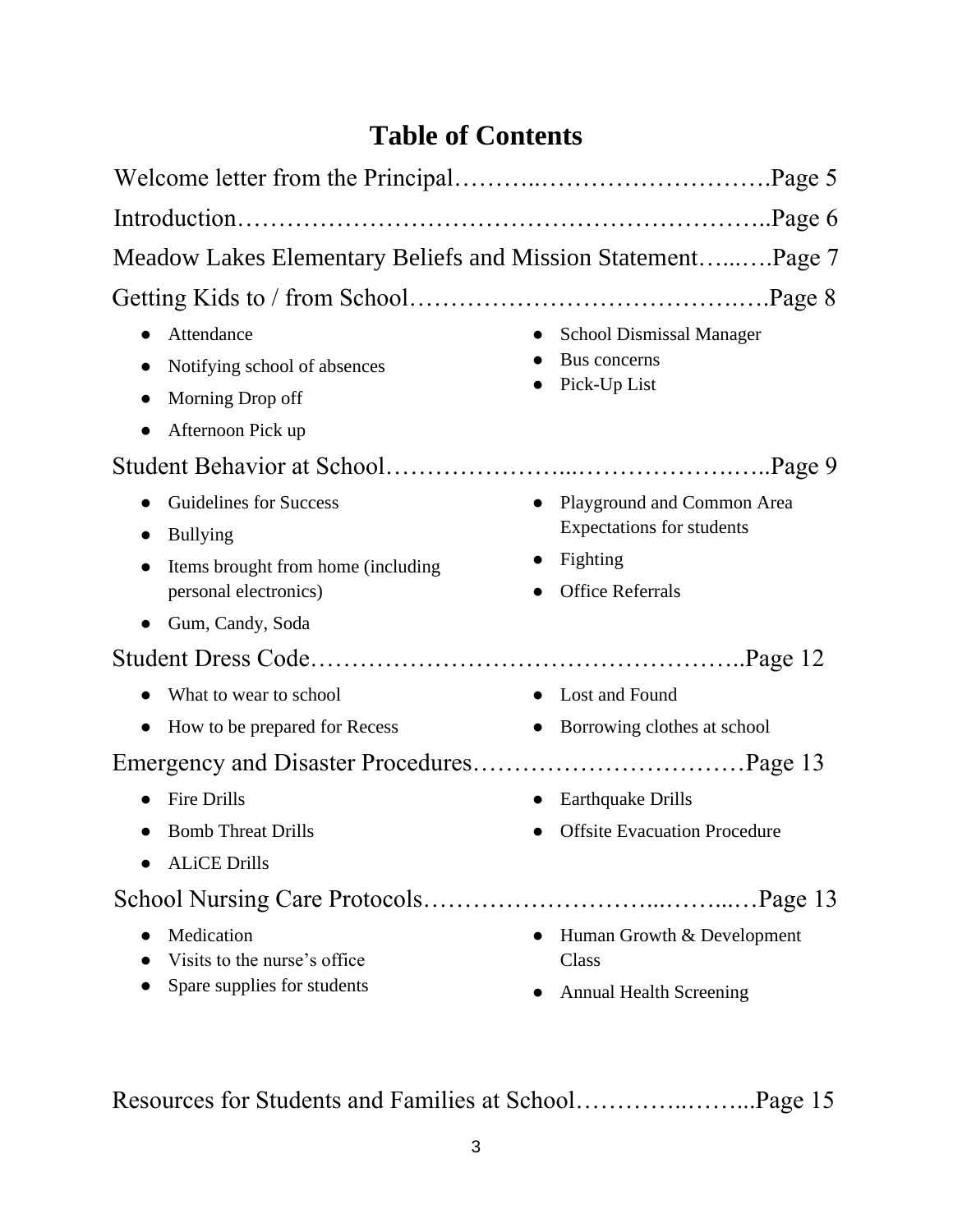# **Table of Contents**

| Meadow Lakes Elementary Beliefs and Mission StatementPage 7                                              |                                                                                                       |
|----------------------------------------------------------------------------------------------------------|-------------------------------------------------------------------------------------------------------|
|                                                                                                          |                                                                                                       |
| Attendance<br>Notifying school of absences<br>Morning Drop off                                           | <b>School Dismissal Manager</b><br>Bus concerns<br>Pick-Up List                                       |
| Afternoon Pick up                                                                                        |                                                                                                       |
| Guidelines for Success<br><b>Bullying</b><br>Items brought from home (including<br>personal electronics) | Playground and Common Area<br><b>Expectations for students</b><br>Fighting<br><b>Office Referrals</b> |
| Gum, Candy, Soda                                                                                         |                                                                                                       |
|                                                                                                          |                                                                                                       |
| What to wear to school<br>How to be prepared for Recess                                                  | Lost and Found<br>Borrowing clothes at school                                                         |
|                                                                                                          |                                                                                                       |
| <b>Fire Drills</b><br><b>Bomb Threat Drills</b><br><b>ALiCE Drills</b>                                   | <b>Earthquake Drills</b><br><b>Offsite Evacuation Procedure</b>                                       |
|                                                                                                          |                                                                                                       |
| Medication<br>Visits to the nurse's office.<br>Spare supplies for students                               | Human Growth & Development<br>$\bullet$<br>Class<br><b>Annual Health Screening</b>                    |

Resources for Students and Families at School…………..……...Page 15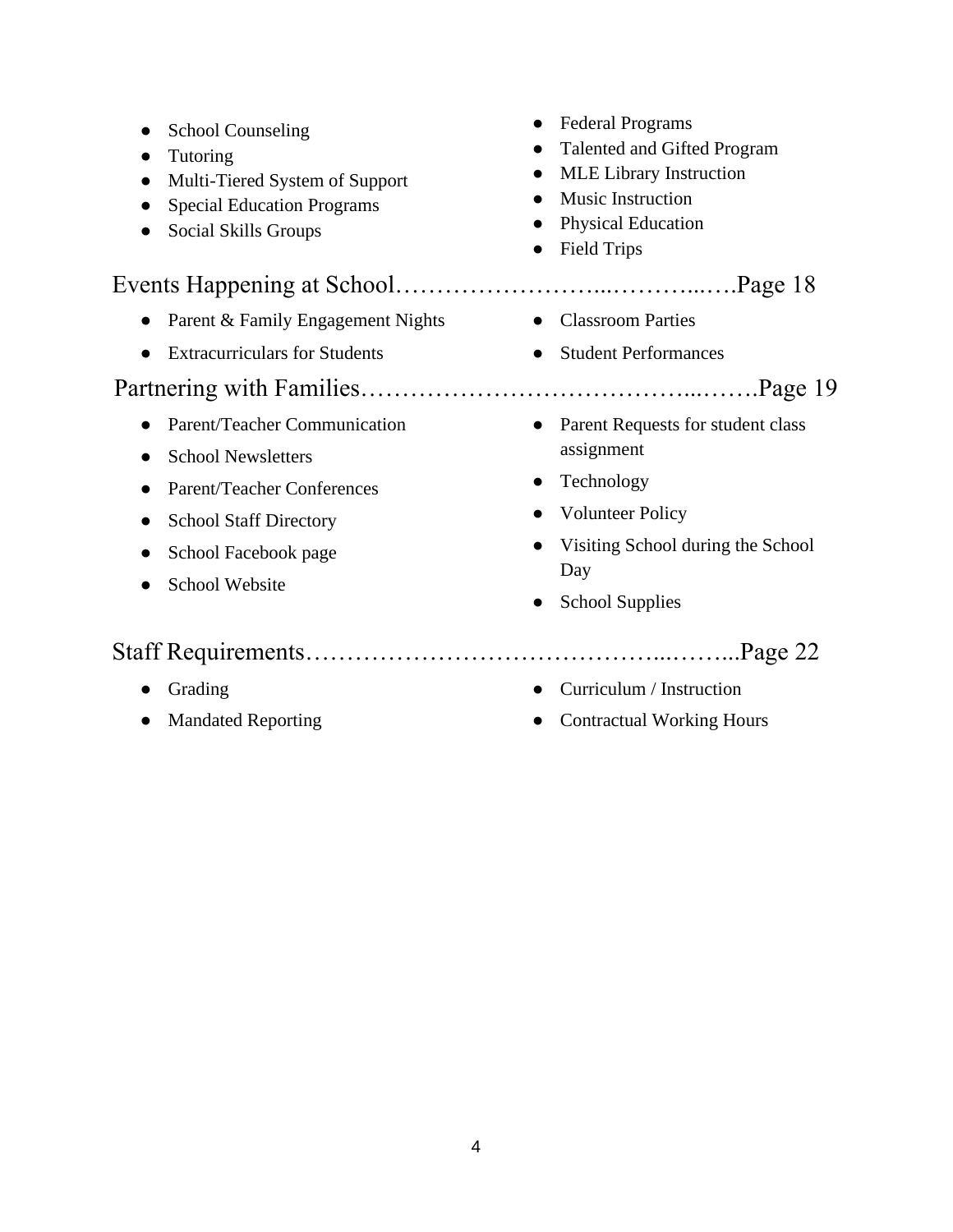| <b>School Counseling</b><br>Tutoring<br>$\bullet$<br>Multi-Tiered System of Support<br>$\bullet$<br><b>Special Education Programs</b><br>Social Skills Groups | <b>Federal Programs</b><br>Talented and Gifted Program<br><b>MLE</b> Library Instruction<br>$\bullet$<br>Music Instruction<br>$\bullet$<br><b>Physical Education</b><br>$\bullet$<br><b>Field Trips</b><br>$\bullet$ |
|---------------------------------------------------------------------------------------------------------------------------------------------------------------|----------------------------------------------------------------------------------------------------------------------------------------------------------------------------------------------------------------------|
|                                                                                                                                                               |                                                                                                                                                                                                                      |
| Parent & Family Engagement Nights                                                                                                                             | <b>Classroom Parties</b><br>$\bullet$                                                                                                                                                                                |
| <b>Extracurriculars for Students</b><br>$\bullet$                                                                                                             | <b>Student Performances</b><br>$\bullet$                                                                                                                                                                             |
|                                                                                                                                                               |                                                                                                                                                                                                                      |
| Parent/Teacher Communication<br><b>School Newsletters</b>                                                                                                     | Parent Requests for student class<br>$\bullet$<br>assignment                                                                                                                                                         |
| <b>Parent/Teacher Conferences</b>                                                                                                                             | Technology<br>$\bullet$                                                                                                                                                                                              |
| <b>School Staff Directory</b>                                                                                                                                 | <b>Volunteer Policy</b>                                                                                                                                                                                              |
| School Facebook page<br><b>School Website</b>                                                                                                                 | Visiting School during the School<br>Day                                                                                                                                                                             |
|                                                                                                                                                               | <b>School Supplies</b><br>$\bullet$                                                                                                                                                                                  |
|                                                                                                                                                               |                                                                                                                                                                                                                      |
| Grading                                                                                                                                                       | Curriculum / Instruction<br>$\bullet$                                                                                                                                                                                |
| <b>Mandated Reporting</b><br>$\bullet$                                                                                                                        | <b>Contractual Working Hours</b>                                                                                                                                                                                     |

● Mandated Reporting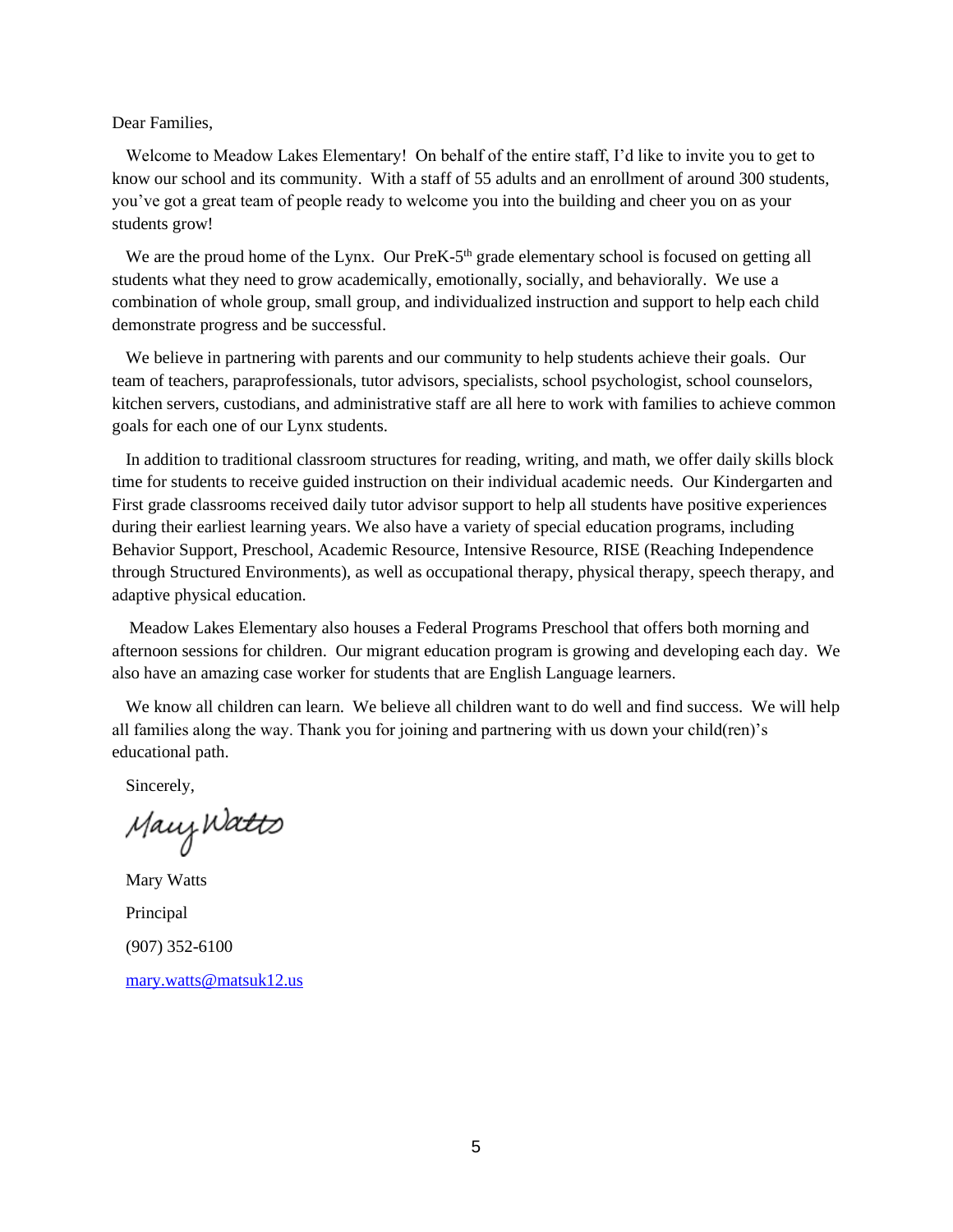Dear Families,

Welcome to Meadow Lakes Elementary! On behalf of the entire staff, I'd like to invite you to get to know our school and its community. With a staff of 55 adults and an enrollment of around 300 students, you've got a great team of people ready to welcome you into the building and cheer you on as your students grow!

We are the proud home of the Lynx. Our PreK-5<sup>th</sup> grade elementary school is focused on getting all students what they need to grow academically, emotionally, socially, and behaviorally. We use a combination of whole group, small group, and individualized instruction and support to help each child demonstrate progress and be successful.

We believe in partnering with parents and our community to help students achieve their goals. Our team of teachers, paraprofessionals, tutor advisors, specialists, school psychologist, school counselors, kitchen servers, custodians, and administrative staff are all here to work with families to achieve common goals for each one of our Lynx students.

In addition to traditional classroom structures for reading, writing, and math, we offer daily skills block time for students to receive guided instruction on their individual academic needs. Our Kindergarten and First grade classrooms received daily tutor advisor support to help all students have positive experiences during their earliest learning years. We also have a variety of special education programs, including Behavior Support, Preschool, Academic Resource, Intensive Resource, RISE (Reaching Independence through Structured Environments), as well as occupational therapy, physical therapy, speech therapy, and adaptive physical education.

 Meadow Lakes Elementary also houses a Federal Programs Preschool that offers both morning and afternoon sessions for children. Our migrant education program is growing and developing each day. We also have an amazing case worker for students that are English Language learners.

We know all children can learn. We believe all children want to do well and find success. We will help all families along the way. Thank you for joining and partnering with us down your child(ren)'s educational path.

Sincerely,

Many Watts

Mary Watts Principal (907) 352-6100 [mary.watts@matsuk12.us](mailto:mary.watts@matsuk12.us)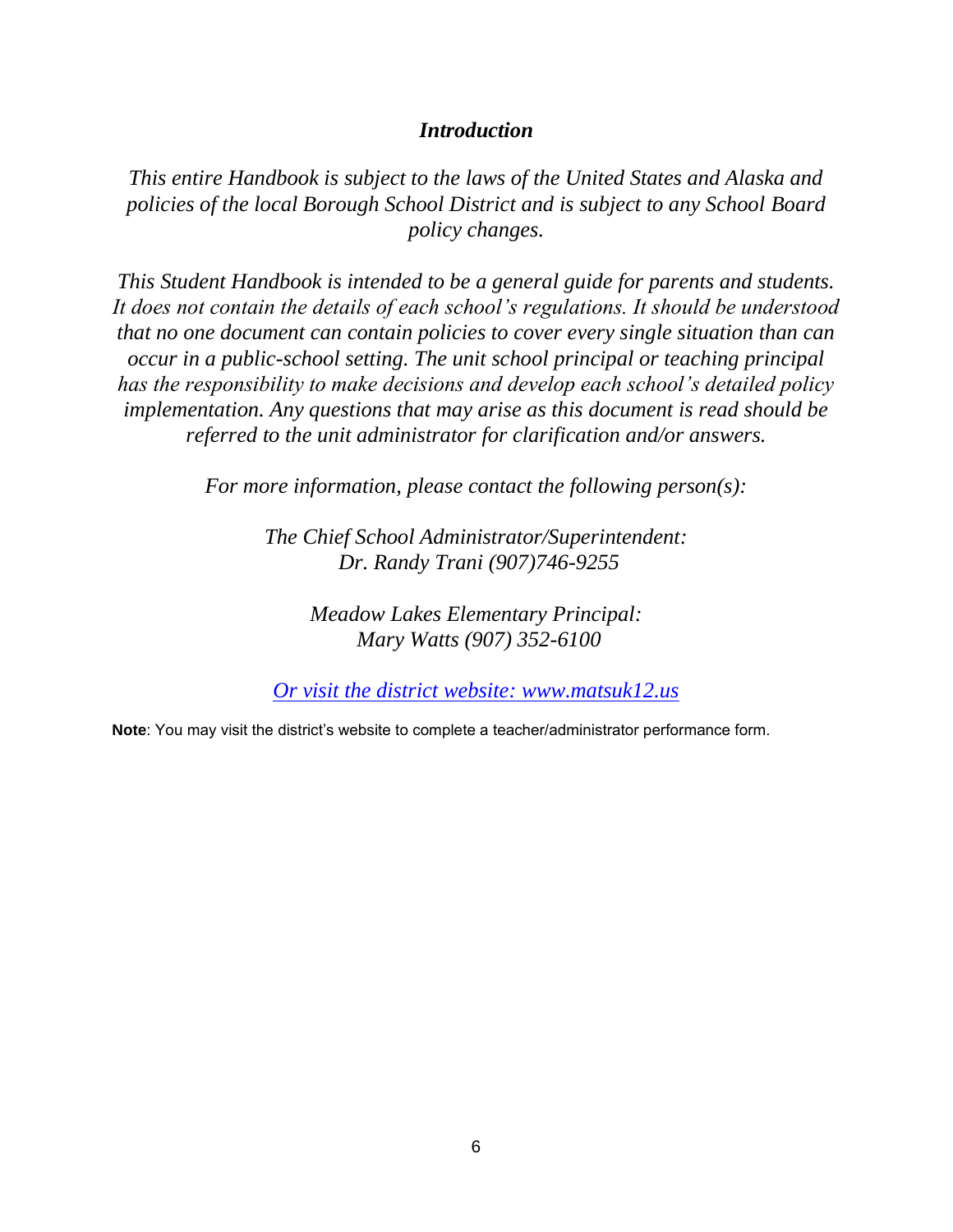#### *Introduction*

*This entire Handbook is subject to the laws of the United States and Alaska and policies of the local Borough School District and is subject to any School Board policy changes.*

*This Student Handbook is intended to be a general guide for parents and students. It does not contain the details of each school's regulations. It should be understood that no one document can contain policies to cover every single situation than can occur in a public-school setting. The unit school principal or teaching principal has the responsibility to make decisions and develop each school's detailed policy implementation. Any questions that may arise as this document is read should be referred to the unit administrator for clarification and/or answers.*

*For more information, please contact the following person(s):*

*The Chief School Administrator/Superintendent: Dr. Randy Trani (907)746-9255*

> *Meadow Lakes Elementary Principal: Mary Watts (907) 352-6100*

*Or visit the district website: www.matsuk12.us*

**Note**: You may visit the district's website to complete a teacher/administrator performance form.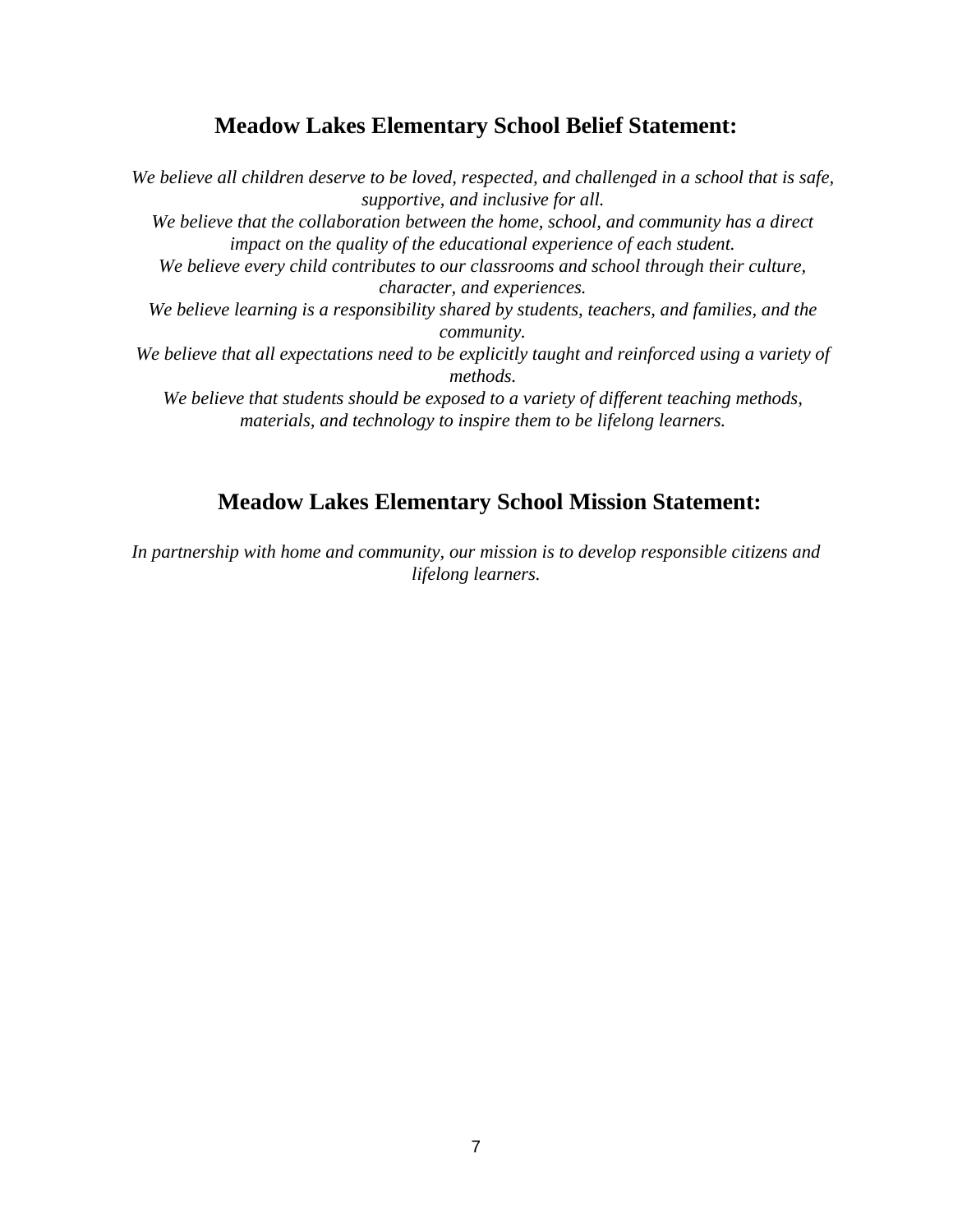# **Meadow Lakes Elementary School Belief Statement:**

*We believe all children deserve to be loved, respected, and challenged in a school that is safe, supportive, and inclusive for all. We believe that the collaboration between the home, school, and community has a direct impact on the quality of the educational experience of each student. We believe every child contributes to our classrooms and school through their culture, character, and experiences. We believe learning is a responsibility shared by students, teachers, and families, and the community. We believe that all expectations need to be explicitly taught and reinforced using a variety of methods. We believe that students should be exposed to a variety of different teaching methods, materials, and technology to inspire them to be lifelong learners.*

# **Meadow Lakes Elementary School Mission Statement:**

*In partnership with home and community, our mission is to develop responsible citizens and lifelong learners.*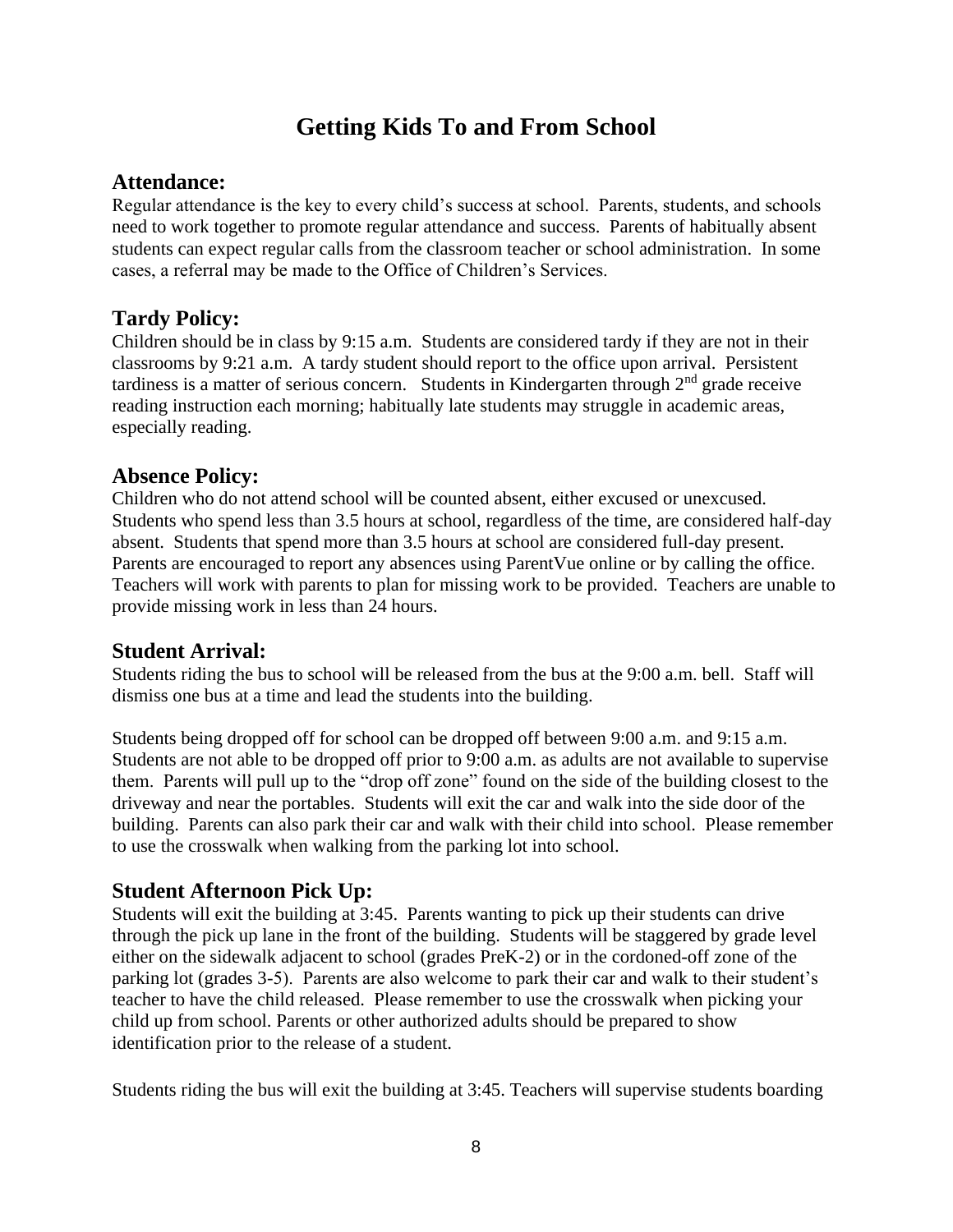# **Getting Kids To and From School**

#### **Attendance:**

Regular attendance is the key to every child's success at school. Parents, students, and schools need to work together to promote regular attendance and success. Parents of habitually absent students can expect regular calls from the classroom teacher or school administration. In some cases, a referral may be made to the Office of Children's Services.

#### **Tardy Policy:**

Children should be in class by 9:15 a.m. Students are considered tardy if they are not in their classrooms by 9:21 a.m. A tardy student should report to the office upon arrival. Persistent tardiness is a matter of serious concern. Students in Kindergarten through  $2<sup>nd</sup>$  grade receive reading instruction each morning; habitually late students may struggle in academic areas, especially reading.

#### **Absence Policy:**

Children who do not attend school will be counted absent, either excused or unexcused. Students who spend less than 3.5 hours at school, regardless of the time, are considered half-day absent. Students that spend more than 3.5 hours at school are considered full-day present. Parents are encouraged to report any absences using ParentVue online or by calling the office. Teachers will work with parents to plan for missing work to be provided. Teachers are unable to provide missing work in less than 24 hours.

#### **Student Arrival:**

Students riding the bus to school will be released from the bus at the 9:00 a.m. bell. Staff will dismiss one bus at a time and lead the students into the building.

Students being dropped off for school can be dropped off between 9:00 a.m. and 9:15 a.m. Students are not able to be dropped off prior to 9:00 a.m. as adults are not available to supervise them. Parents will pull up to the "drop off zone" found on the side of the building closest to the driveway and near the portables. Students will exit the car and walk into the side door of the building. Parents can also park their car and walk with their child into school. Please remember to use the crosswalk when walking from the parking lot into school.

## **Student Afternoon Pick Up:**

Students will exit the building at 3:45. Parents wanting to pick up their students can drive through the pick up lane in the front of the building. Students will be staggered by grade level either on the sidewalk adjacent to school (grades PreK-2) or in the cordoned-off zone of the parking lot (grades 3-5). Parents are also welcome to park their car and walk to their student's teacher to have the child released. Please remember to use the crosswalk when picking your child up from school. Parents or other authorized adults should be prepared to show identification prior to the release of a student.

Students riding the bus will exit the building at 3:45. Teachers will supervise students boarding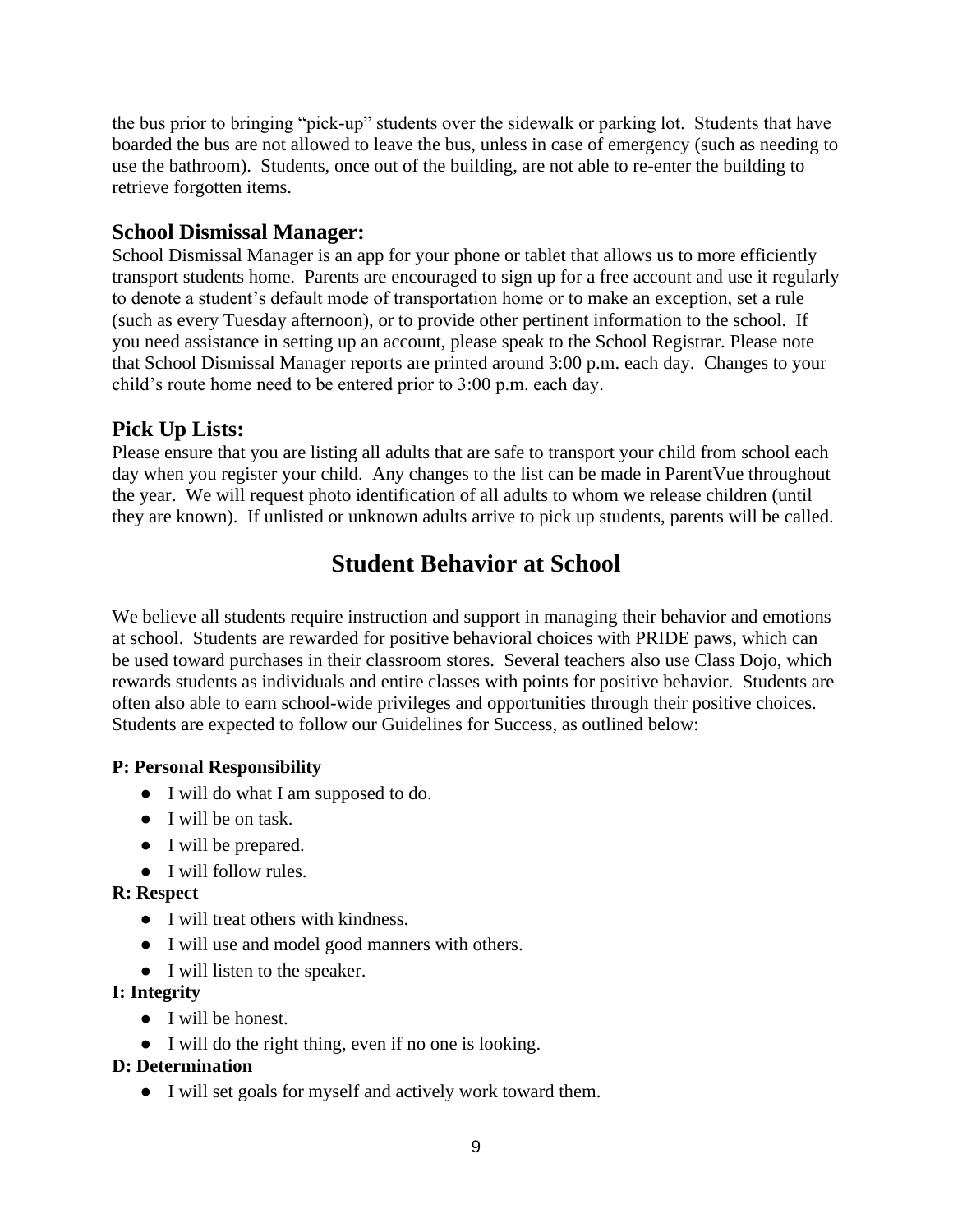the bus prior to bringing "pick-up" students over the sidewalk or parking lot. Students that have boarded the bus are not allowed to leave the bus, unless in case of emergency (such as needing to use the bathroom). Students, once out of the building, are not able to re-enter the building to retrieve forgotten items.

#### **School Dismissal Manager:**

School Dismissal Manager is an app for your phone or tablet that allows us to more efficiently transport students home. Parents are encouraged to sign up for a free account and use it regularly to denote a student's default mode of transportation home or to make an exception, set a rule (such as every Tuesday afternoon), or to provide other pertinent information to the school. If you need assistance in setting up an account, please speak to the School Registrar. Please note that School Dismissal Manager reports are printed around 3:00 p.m. each day. Changes to your child's route home need to be entered prior to 3:00 p.m. each day.

# **Pick Up Lists:**

Please ensure that you are listing all adults that are safe to transport your child from school each day when you register your child. Any changes to the list can be made in ParentVue throughout the year. We will request photo identification of all adults to whom we release children (until they are known). If unlisted or unknown adults arrive to pick up students, parents will be called.

# **Student Behavior at School**

We believe all students require instruction and support in managing their behavior and emotions at school. Students are rewarded for positive behavioral choices with PRIDE paws, which can be used toward purchases in their classroom stores. Several teachers also use Class Dojo, which rewards students as individuals and entire classes with points for positive behavior. Students are often also able to earn school-wide privileges and opportunities through their positive choices. Students are expected to follow our Guidelines for Success, as outlined below:

#### **P: Personal Responsibility**

- I will do what I am supposed to do.
- I will be on task.
- I will be prepared.
- I will follow rules.

#### **R: Respect**

- I will treat others with kindness.
- I will use and model good manners with others.
- I will listen to the speaker.

#### **I: Integrity**

- I will be honest.
- I will do the right thing, even if no one is looking.

#### **D: Determination**

● I will set goals for myself and actively work toward them.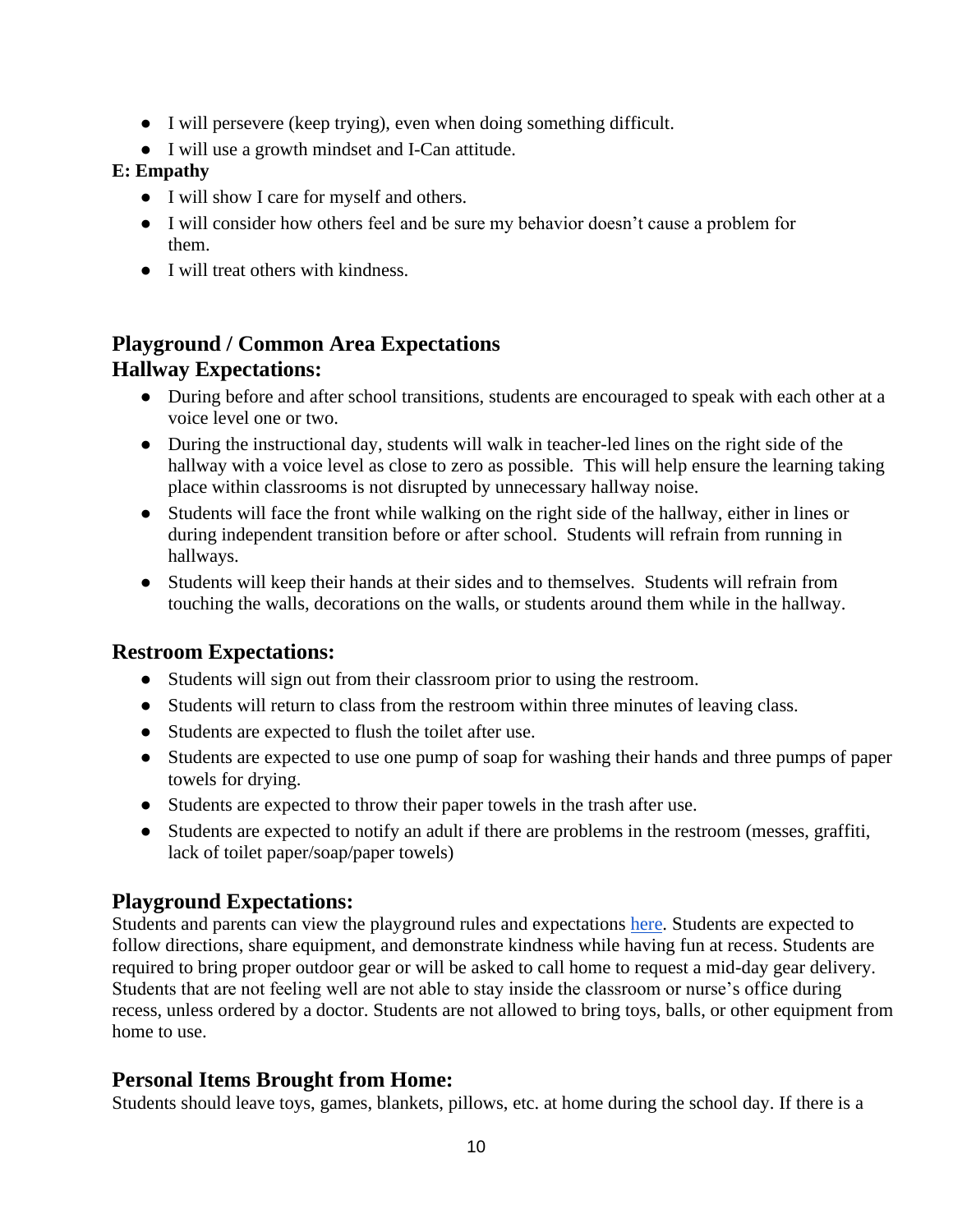- I will persevere (keep trying), even when doing something difficult.
- I will use a growth mindset and I-Can attitude.

#### **E: Empathy**

- I will show I care for myself and others.
- I will consider how others feel and be sure my behavior doesn't cause a problem for them.
- I will treat others with kindness.

# **Playground / Common Area Expectations Hallway Expectations:**

- During before and after school transitions, students are encouraged to speak with each other at a voice level one or two.
- During the instructional day, students will walk in teacher-led lines on the right side of the hallway with a voice level as close to zero as possible. This will help ensure the learning taking place within classrooms is not disrupted by unnecessary hallway noise.
- Students will face the front while walking on the right side of the hallway, either in lines or during independent transition before or after school. Students will refrain from running in hallways.
- Students will keep their hands at their sides and to themselves. Students will refrain from touching the walls, decorations on the walls, or students around them while in the hallway.

## **Restroom Expectations:**

- Students will sign out from their classroom prior to using the restroom.
- Students will return to class from the restroom within three minutes of leaving class.
- Students are expected to flush the toilet after use.
- Students are expected to use one pump of soap for washing their hands and three pumps of paper towels for drying.
- Students are expected to throw their paper towels in the trash after use.
- Students are expected to notify an adult if there are problems in the restroom (messes, graffiti, lack of toilet paper/soap/paper towels)

## **Playground Expectations:**

Students and parents can view the playground rules and expectations [here.](https://docs.google.com/spreadsheets/d/1rTNaZjkgTQlRNkhD1R71ACbb6uw8dMduotjHtXaXkv0/edit?usp=sharing) Students are expected to follow directions, share equipment, and demonstrate kindness while having fun at recess. Students are required to bring proper outdoor gear or will be asked to call home to request a mid-day gear delivery. Students that are not feeling well are not able to stay inside the classroom or nurse's office during recess, unless ordered by a doctor. Students are not allowed to bring toys, balls, or other equipment from home to use.

## **Personal Items Brought from Home:**

Students should leave toys, games, blankets, pillows, etc. at home during the school day. If there is a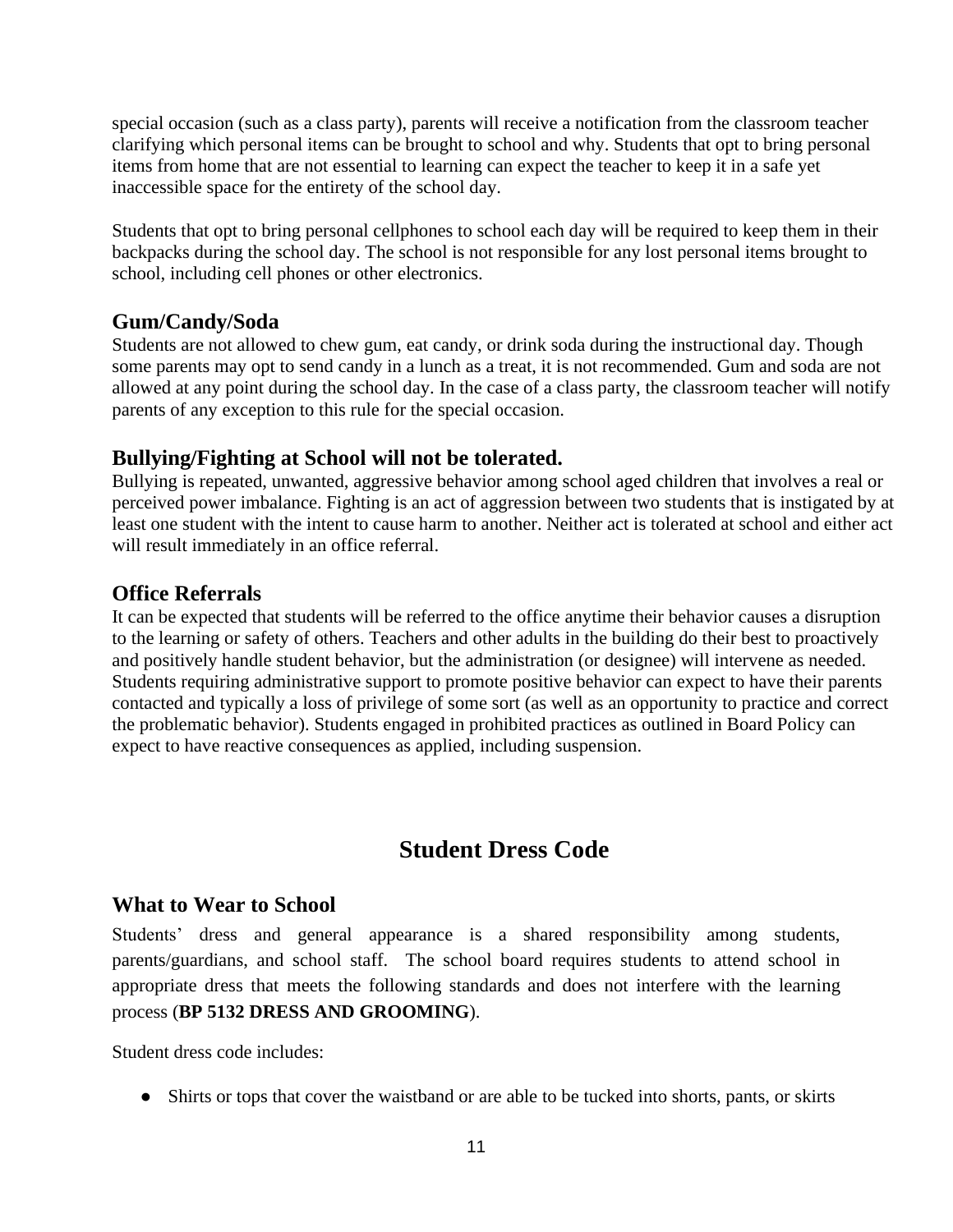special occasion (such as a class party), parents will receive a notification from the classroom teacher clarifying which personal items can be brought to school and why. Students that opt to bring personal items from home that are not essential to learning can expect the teacher to keep it in a safe yet inaccessible space for the entirety of the school day.

Students that opt to bring personal cellphones to school each day will be required to keep them in their backpacks during the school day. The school is not responsible for any lost personal items brought to school, including cell phones or other electronics.

#### **Gum/Candy/Soda**

Students are not allowed to chew gum, eat candy, or drink soda during the instructional day. Though some parents may opt to send candy in a lunch as a treat, it is not recommended. Gum and soda are not allowed at any point during the school day. In the case of a class party, the classroom teacher will notify parents of any exception to this rule for the special occasion.

#### **Bullying/Fighting at School will not be tolerated.**

Bullying is repeated, unwanted, aggressive behavior among school aged children that involves a real or perceived power imbalance. Fighting is an act of aggression between two students that is instigated by at least one student with the intent to cause harm to another. Neither act is tolerated at school and either act will result immediately in an office referral.

#### **Office Referrals**

It can be expected that students will be referred to the office anytime their behavior causes a disruption to the learning or safety of others. Teachers and other adults in the building do their best to proactively and positively handle student behavior, but the administration (or designee) will intervene as needed. Students requiring administrative support to promote positive behavior can expect to have their parents contacted and typically a loss of privilege of some sort (as well as an opportunity to practice and correct the problematic behavior). Students engaged in prohibited practices as outlined in Board Policy can expect to have reactive consequences as applied, including suspension.

# **Student Dress Code**

#### **What to Wear to School**

Students' dress and general appearance is a shared responsibility among students, parents/guardians, and school staff. The school board requires students to attend school in appropriate dress that meets the following standards and does not interfere with the learning process (**BP 5132 DRESS AND GROOMING**).

Student dress code includes:

• Shirts or tops that cover the waistband or are able to be tucked into shorts, pants, or skirts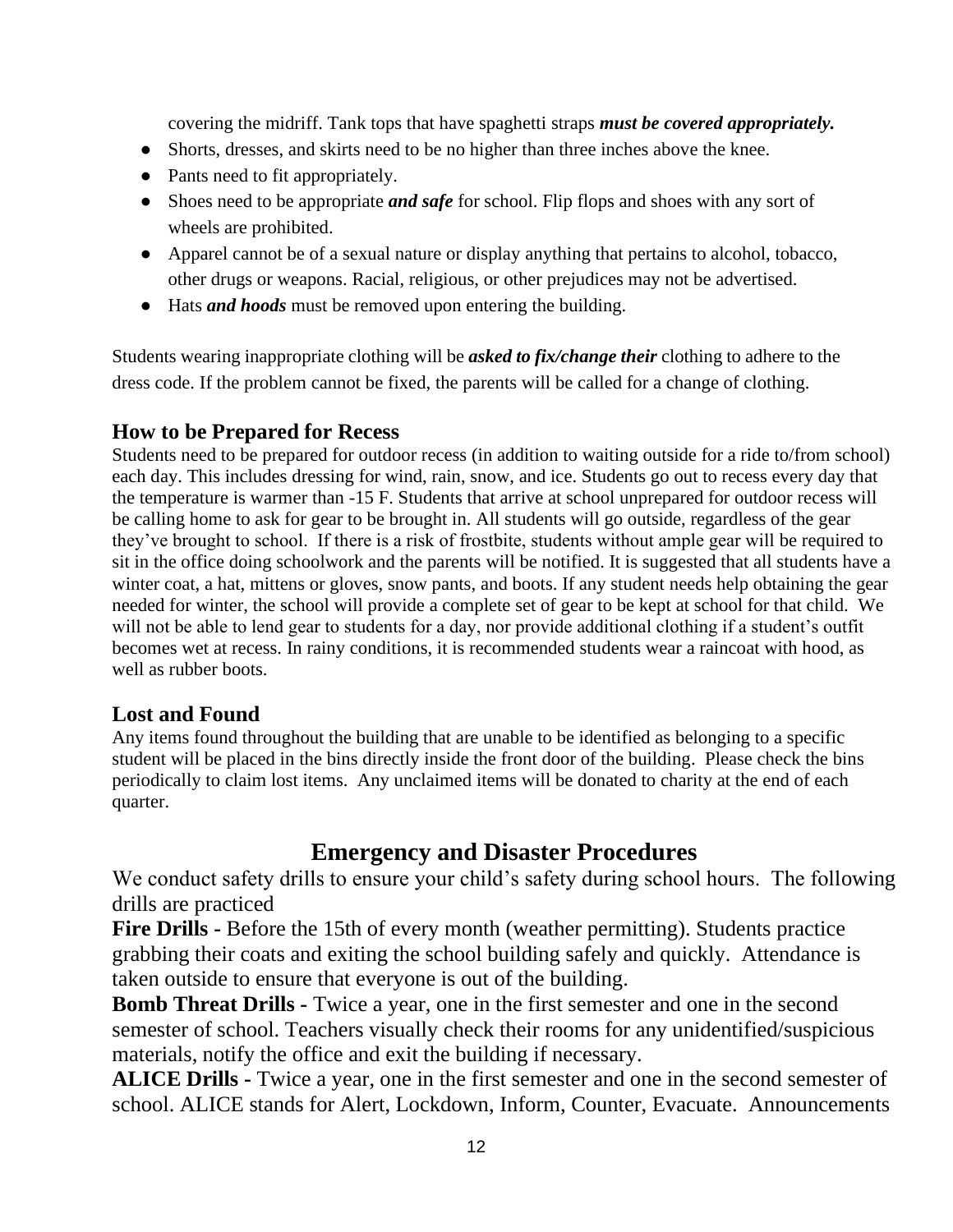covering the midriff. Tank tops that have spaghetti straps *must be covered appropriately.*

- Shorts, dresses, and skirts need to be no higher than three inches above the knee.
- Pants need to fit appropriately.
- Shoes need to be appropriate *and safe* for school. Flip flops and shoes with any sort of wheels are prohibited.
- Apparel cannot be of a sexual nature or display anything that pertains to alcohol, tobacco, other drugs or weapons. Racial, religious, or other prejudices may not be advertised.
- Hats *and hoods* must be removed upon entering the building.

Students wearing inappropriate clothing will be *asked to fix/change their* clothing to adhere to the dress code. If the problem cannot be fixed, the parents will be called for a change of clothing.

#### **How to be Prepared for Recess**

Students need to be prepared for outdoor recess (in addition to waiting outside for a ride to/from school) each day. This includes dressing for wind, rain, snow, and ice. Students go out to recess every day that the temperature is warmer than -15 F. Students that arrive at school unprepared for outdoor recess will be calling home to ask for gear to be brought in. All students will go outside, regardless of the gear they've brought to school. If there is a risk of frostbite, students without ample gear will be required to sit in the office doing schoolwork and the parents will be notified. It is suggested that all students have a winter coat, a hat, mittens or gloves, snow pants, and boots. If any student needs help obtaining the gear needed for winter, the school will provide a complete set of gear to be kept at school for that child. We will not be able to lend gear to students for a day, nor provide additional clothing if a student's outfit becomes wet at recess. In rainy conditions, it is recommended students wear a raincoat with hood, as well as rubber boots.

#### **Lost and Found**

Any items found throughout the building that are unable to be identified as belonging to a specific student will be placed in the bins directly inside the front door of the building. Please check the bins periodically to claim lost items. Any unclaimed items will be donated to charity at the end of each quarter.

# **Emergency and Disaster Procedures**

We conduct safety drills to ensure your child's safety during school hours. The following drills are practiced

**Fire Drills -** Before the 15th of every month (weather permitting). Students practice grabbing their coats and exiting the school building safely and quickly. Attendance is taken outside to ensure that everyone is out of the building.

**Bomb Threat Drills -** Twice a year, one in the first semester and one in the second semester of school. Teachers visually check their rooms for any unidentified/suspicious materials, notify the office and exit the building if necessary.

**ALICE Drills -** Twice a year, one in the first semester and one in the second semester of school. ALICE stands for Alert, Lockdown, Inform, Counter, Evacuate. Announcements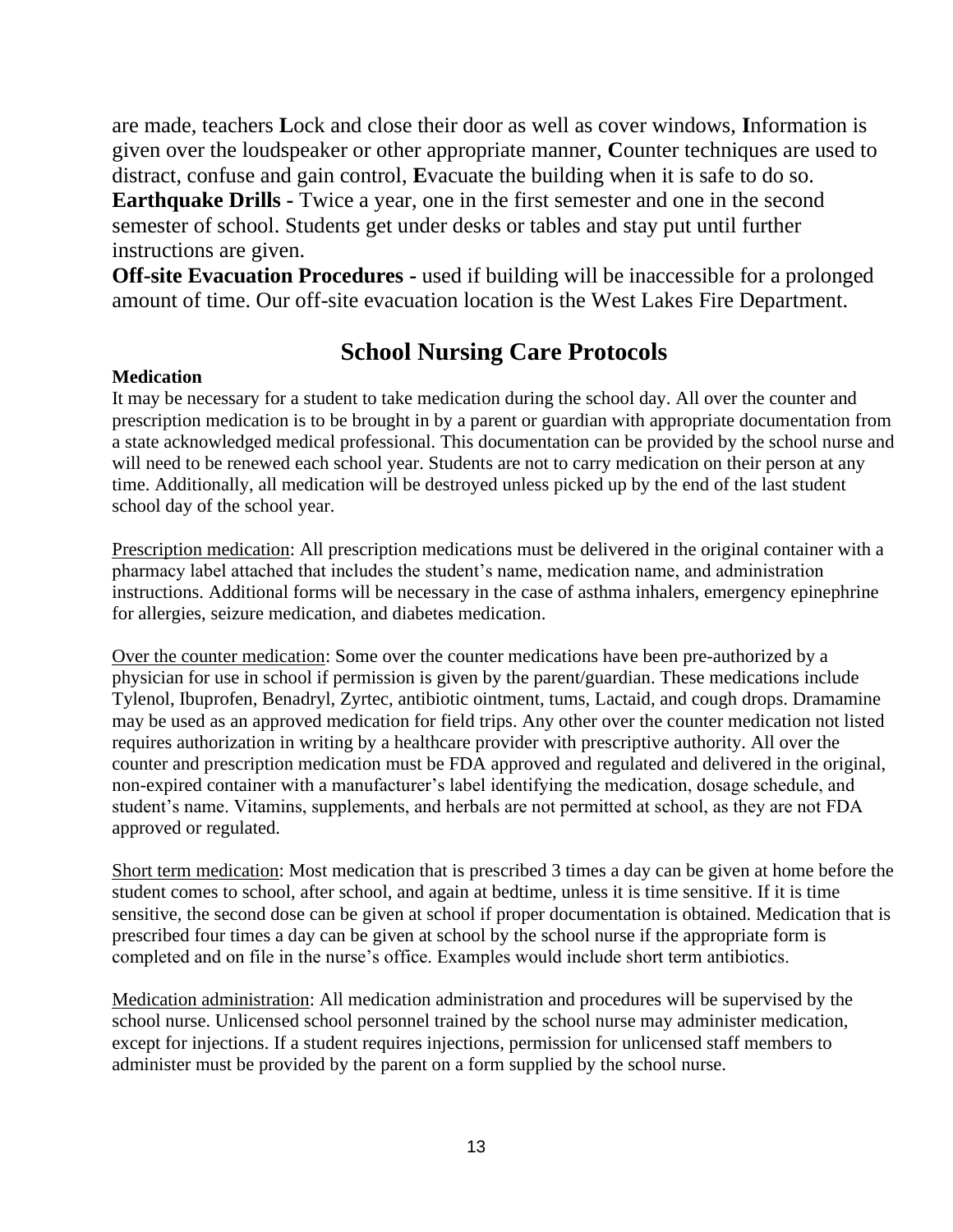are made, teachers **L**ock and close their door as well as cover windows, **I**nformation is given over the loudspeaker or other appropriate manner, **C**ounter techniques are used to distract, confuse and gain control, **E**vacuate the building when it is safe to do so. **Earthquake Drills -** Twice a year, one in the first semester and one in the second semester of school. Students get under desks or tables and stay put until further instructions are given.

**Off-site Evacuation Procedures -** used if building will be inaccessible for a prolonged amount of time. Our off-site evacuation location is the West Lakes Fire Department.

# **School Nursing Care Protocols**

#### **Medication**

It may be necessary for a student to take medication during the school day. All over the counter and prescription medication is to be brought in by a parent or guardian with appropriate documentation from a state acknowledged medical professional. This documentation can be provided by the school nurse and will need to be renewed each school year. Students are not to carry medication on their person at any time. Additionally, all medication will be destroyed unless picked up by the end of the last student school day of the school year.

Prescription medication: All prescription medications must be delivered in the original container with a pharmacy label attached that includes the student's name, medication name, and administration instructions. Additional forms will be necessary in the case of asthma inhalers, emergency epinephrine for allergies, seizure medication, and diabetes medication.

Over the counter medication: Some over the counter medications have been pre-authorized by a physician for use in school if permission is given by the parent/guardian. These medications include Tylenol, Ibuprofen, Benadryl, Zyrtec, antibiotic ointment, tums, Lactaid, and cough drops. Dramamine may be used as an approved medication for field trips. Any other over the counter medication not listed requires authorization in writing by a healthcare provider with prescriptive authority. All over the counter and prescription medication must be FDA approved and regulated and delivered in the original, non-expired container with a manufacturer's label identifying the medication, dosage schedule, and student's name. Vitamins, supplements, and herbals are not permitted at school, as they are not FDA approved or regulated.

Short term medication: Most medication that is prescribed 3 times a day can be given at home before the student comes to school, after school, and again at bedtime, unless it is time sensitive. If it is time sensitive, the second dose can be given at school if proper documentation is obtained. Medication that is prescribed four times a day can be given at school by the school nurse if the appropriate form is completed and on file in the nurse's office. Examples would include short term antibiotics.

Medication administration: All medication administration and procedures will be supervised by the school nurse. Unlicensed school personnel trained by the school nurse may administer medication, except for injections. If a student requires injections, permission for unlicensed staff members to administer must be provided by the parent on a form supplied by the school nurse.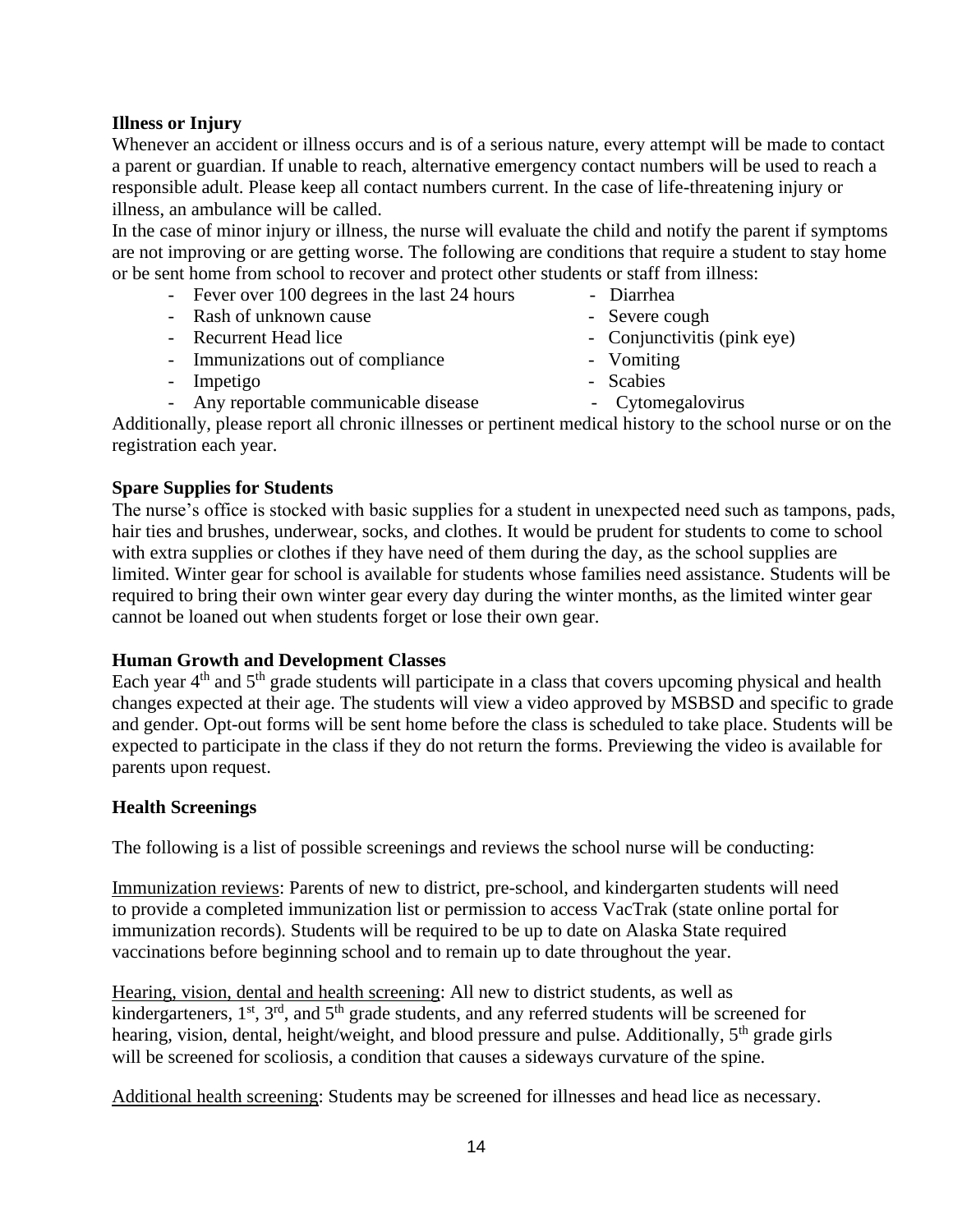#### **Illness or Injury**

Whenever an accident or illness occurs and is of a serious nature, every attempt will be made to contact a parent or guardian. If unable to reach, alternative emergency contact numbers will be used to reach a responsible adult. Please keep all contact numbers current. In the case of life-threatening injury or illness, an ambulance will be called.

In the case of minor injury or illness, the nurse will evaluate the child and notify the parent if symptoms are not improving or are getting worse. The following are conditions that require a student to stay home or be sent home from school to recover and protect other students or staff from illness:

- Fever over 100 degrees in the last 24 hours Diarrhea
- Rash of unknown cause Severe cough
- Recurrent Head lice Conjunctivitis (pink eye)
- Immunizations out of compliance Vomiting
- Impetigo Scabies
- Any reportable communicable disease Cytomegalovirus
	-

Additionally, please report all chronic illnesses or pertinent medical history to the school nurse or on the registration each year.

#### **Spare Supplies for Students**

The nurse's office is stocked with basic supplies for a student in unexpected need such as tampons, pads, hair ties and brushes, underwear, socks, and clothes. It would be prudent for students to come to school with extra supplies or clothes if they have need of them during the day, as the school supplies are limited. Winter gear for school is available for students whose families need assistance. Students will be required to bring their own winter gear every day during the winter months, as the limited winter gear cannot be loaned out when students forget or lose their own gear.

#### **Human Growth and Development Classes**

Each year 4<sup>th</sup> and 5<sup>th</sup> grade students will participate in a class that covers upcoming physical and health changes expected at their age. The students will view a video approved by MSBSD and specific to grade and gender. Opt-out forms will be sent home before the class is scheduled to take place. Students will be expected to participate in the class if they do not return the forms. Previewing the video is available for parents upon request.

#### **Health Screenings**

The following is a list of possible screenings and reviews the school nurse will be conducting:

Immunization reviews: Parents of new to district, pre-school, and kindergarten students will need to provide a completed immunization list or permission to access VacTrak (state online portal for immunization records). Students will be required to be up to date on Alaska State required vaccinations before beginning school and to remain up to date throughout the year.

Hearing, vision, dental and health screening: All new to district students, as well as kindergarteners,  $1<sup>st</sup>$ ,  $3<sup>rd</sup>$ , and  $5<sup>th</sup>$  grade students, and any referred students will be screened for hearing, vision, dental, height/weight, and blood pressure and pulse. Additionally,  $5<sup>th</sup>$  grade girls will be screened for scoliosis, a condition that causes a sideways curvature of the spine.

Additional health screening: Students may be screened for illnesses and head lice as necessary.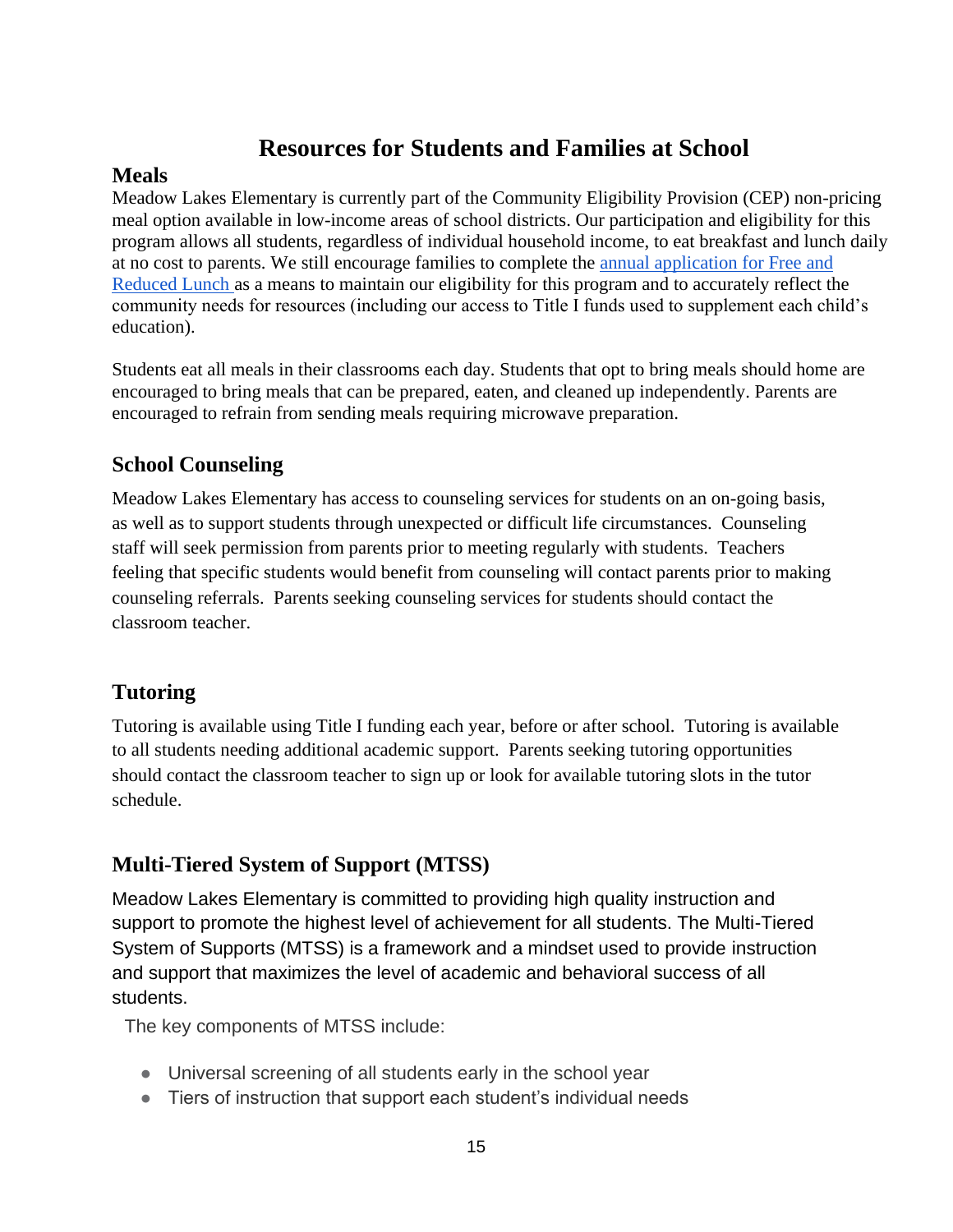# **Resources for Students and Families at School**

## **Meals**

Meadow Lakes Elementary is currently part of the Community Eligibility Provision (CEP) non-pricing meal option available in low-income areas of school districts. Our participation and eligibility for this program allows all students, regardless of individual household income, to eat breakfast and lunch daily at no cost to parents. We still encourage families to complete the [annual application for Free and](https://www.matsuk12.us/Page/25406)  [Reduced Lunch a](https://www.matsuk12.us/Page/25406)s a means to maintain our eligibility for this program and to accurately reflect the community needs for resources (including our access to Title I funds used to supplement each child's education).

Students eat all meals in their classrooms each day. Students that opt to bring meals should home are encouraged to bring meals that can be prepared, eaten, and cleaned up independently. Parents are encouraged to refrain from sending meals requiring microwave preparation.

# **School Counseling**

Meadow Lakes Elementary has access to counseling services for students on an on-going basis, as well as to support students through unexpected or difficult life circumstances. Counseling staff will seek permission from parents prior to meeting regularly with students. Teachers feeling that specific students would benefit from counseling will contact parents prior to making counseling referrals. Parents seeking counseling services for students should contact the classroom teacher.

# **Tutoring**

Tutoring is available using Title I funding each year, before or after school. Tutoring is available to all students needing additional academic support. Parents seeking tutoring opportunities should contact the classroom teacher to sign up or look for available tutoring slots in the tutor schedule.

# **Multi-Tiered System of Support (MTSS)**

Meadow Lakes Elementary is committed to providing high quality instruction and support to promote the highest level of achievement for all students. The Multi-Tiered System of Supports (MTSS) is a framework and a mindset used to provide instruction and support that maximizes the level of academic and behavioral success of all students.

The key components of MTSS include:

- Universal screening of all students early in the school year
- Tiers of instruction that support each student's individual needs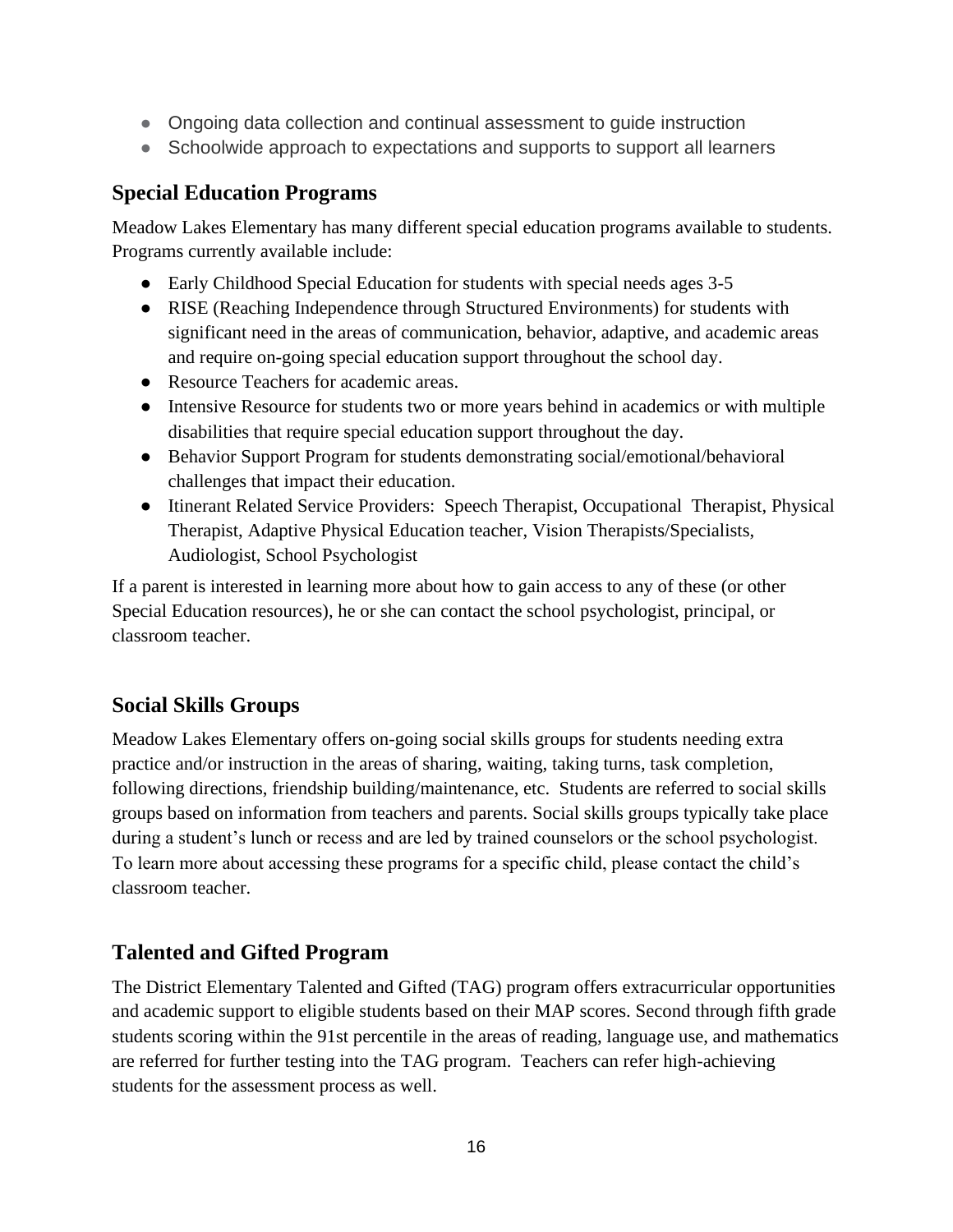- Ongoing data collection and continual assessment to quide instruction
- Schoolwide approach to expectations and supports to support all learners

## **Special Education Programs**

Meadow Lakes Elementary has many different special education programs available to students. Programs currently available include:

- Early Childhood Special Education for students with special needs ages 3-5
- RISE (Reaching Independence through Structured Environments) for students with significant need in the areas of communication, behavior, adaptive, and academic areas and require on-going special education support throughout the school day.
- Resource Teachers for academic areas.
- Intensive Resource for students two or more years behind in academics or with multiple disabilities that require special education support throughout the day.
- Behavior Support Program for students demonstrating social/emotional/behavioral challenges that impact their education.
- Itinerant Related Service Providers: Speech Therapist, Occupational Therapist, Physical Therapist, Adaptive Physical Education teacher, Vision Therapists/Specialists, Audiologist, School Psychologist

If a parent is interested in learning more about how to gain access to any of these (or other Special Education resources), he or she can contact the school psychologist, principal, or classroom teacher.

## **Social Skills Groups**

Meadow Lakes Elementary offers on-going social skills groups for students needing extra practice and/or instruction in the areas of sharing, waiting, taking turns, task completion, following directions, friendship building/maintenance, etc. Students are referred to social skills groups based on information from teachers and parents. Social skills groups typically take place during a student's lunch or recess and are led by trained counselors or the school psychologist. To learn more about accessing these programs for a specific child, please contact the child's classroom teacher.

# **Talented and Gifted Program**

The District Elementary Talented and Gifted (TAG) program offers extracurricular opportunities and academic support to eligible students based on their MAP scores. Second through fifth grade students scoring within the 91st percentile in the areas of reading, language use, and mathematics are referred for further testing into the TAG program. Teachers can refer high-achieving students for the assessment process as well.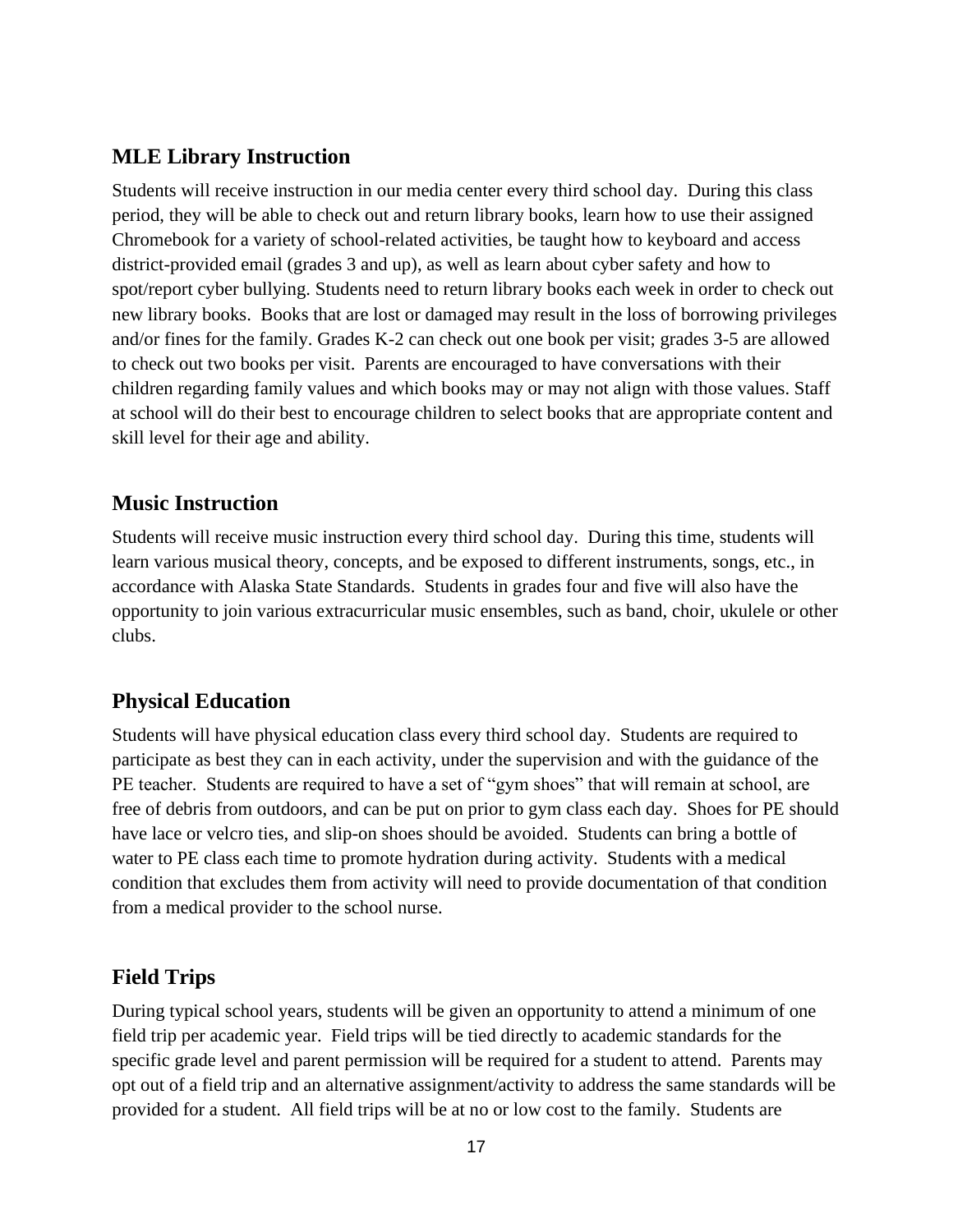## **MLE Library Instruction**

Students will receive instruction in our media center every third school day. During this class period, they will be able to check out and return library books, learn how to use their assigned Chromebook for a variety of school-related activities, be taught how to keyboard and access district-provided email (grades 3 and up), as well as learn about cyber safety and how to spot/report cyber bullying. Students need to return library books each week in order to check out new library books. Books that are lost or damaged may result in the loss of borrowing privileges and/or fines for the family. Grades K-2 can check out one book per visit; grades 3-5 are allowed to check out two books per visit. Parents are encouraged to have conversations with their children regarding family values and which books may or may not align with those values. Staff at school will do their best to encourage children to select books that are appropriate content and skill level for their age and ability.

# **Music Instruction**

Students will receive music instruction every third school day. During this time, students will learn various musical theory, concepts, and be exposed to different instruments, songs, etc., in accordance with Alaska State Standards. Students in grades four and five will also have the opportunity to join various extracurricular music ensembles, such as band, choir, ukulele or other clubs.

# **Physical Education**

Students will have physical education class every third school day. Students are required to participate as best they can in each activity, under the supervision and with the guidance of the PE teacher. Students are required to have a set of "gym shoes" that will remain at school, are free of debris from outdoors, and can be put on prior to gym class each day. Shoes for PE should have lace or velcro ties, and slip-on shoes should be avoided. Students can bring a bottle of water to PE class each time to promote hydration during activity. Students with a medical condition that excludes them from activity will need to provide documentation of that condition from a medical provider to the school nurse.

# **Field Trips**

During typical school years, students will be given an opportunity to attend a minimum of one field trip per academic year. Field trips will be tied directly to academic standards for the specific grade level and parent permission will be required for a student to attend. Parents may opt out of a field trip and an alternative assignment/activity to address the same standards will be provided for a student. All field trips will be at no or low cost to the family. Students are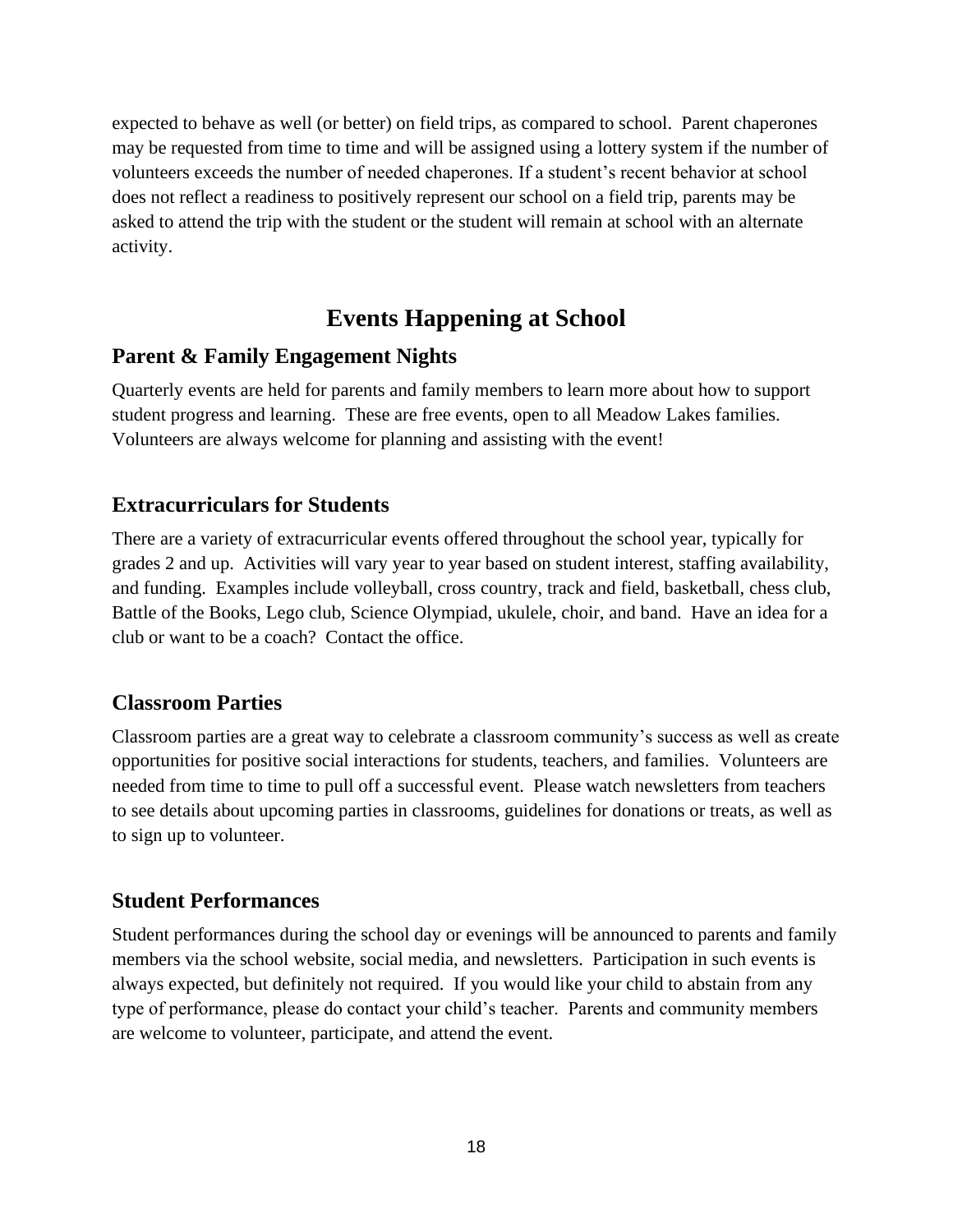expected to behave as well (or better) on field trips, as compared to school. Parent chaperones may be requested from time to time and will be assigned using a lottery system if the number of volunteers exceeds the number of needed chaperones. If a student's recent behavior at school does not reflect a readiness to positively represent our school on a field trip, parents may be asked to attend the trip with the student or the student will remain at school with an alternate activity.

# **Events Happening at School**

## **Parent & Family Engagement Nights**

Quarterly events are held for parents and family members to learn more about how to support student progress and learning. These are free events, open to all Meadow Lakes families. Volunteers are always welcome for planning and assisting with the event!

## **Extracurriculars for Students**

There are a variety of extracurricular events offered throughout the school year, typically for grades 2 and up. Activities will vary year to year based on student interest, staffing availability, and funding. Examples include volleyball, cross country, track and field, basketball, chess club, Battle of the Books, Lego club, Science Olympiad, ukulele, choir, and band. Have an idea for a club or want to be a coach? Contact the office.

## **Classroom Parties**

Classroom parties are a great way to celebrate a classroom community's success as well as create opportunities for positive social interactions for students, teachers, and families. Volunteers are needed from time to time to pull off a successful event. Please watch newsletters from teachers to see details about upcoming parties in classrooms, guidelines for donations or treats, as well as to sign up to volunteer.

## **Student Performances**

Student performances during the school day or evenings will be announced to parents and family members via the school website, social media, and newsletters. Participation in such events is always expected, but definitely not required. If you would like your child to abstain from any type of performance, please do contact your child's teacher. Parents and community members are welcome to volunteer, participate, and attend the event.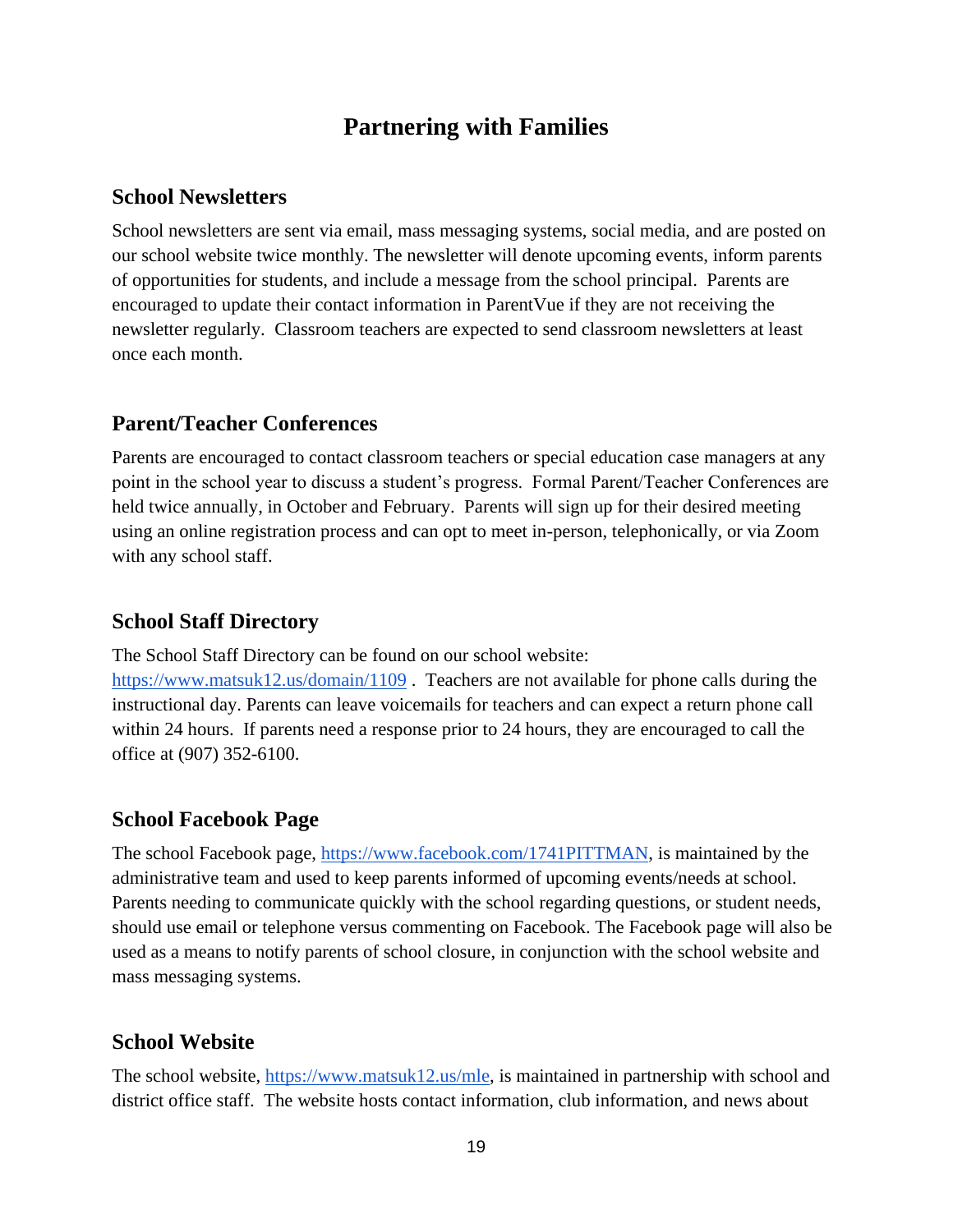# **Partnering with Families**

#### **School Newsletters**

School newsletters are sent via email, mass messaging systems, social media, and are posted on our school website twice monthly. The newsletter will denote upcoming events, inform parents of opportunities for students, and include a message from the school principal. Parents are encouraged to update their contact information in ParentVue if they are not receiving the newsletter regularly. Classroom teachers are expected to send classroom newsletters at least once each month.

#### **Parent/Teacher Conferences**

Parents are encouraged to contact classroom teachers or special education case managers at any point in the school year to discuss a student's progress. Formal Parent/Teacher Conferences are held twice annually, in October and February. Parents will sign up for their desired meeting using an online registration process and can opt to meet in-person, telephonically, or via Zoom with any school staff.

#### **School Staff Directory**

The School Staff Directory can be found on our school website:

<https://www.matsuk12.us/domain/1109>. Teachers are not available for phone calls during the instructional day. Parents can leave voicemails for teachers and can expect a return phone call within 24 hours. If parents need a response prior to 24 hours, they are encouraged to call the office at (907) 352-6100.

#### **School Facebook Page**

The school Facebook page, [https://www.facebook.com/1741PITTMAN,](https://www.facebook.com/1741PITTMAN) is maintained by the administrative team and used to keep parents informed of upcoming events/needs at school. Parents needing to communicate quickly with the school regarding questions, or student needs, should use email or telephone versus commenting on Facebook. The Facebook page will also be used as a means to notify parents of school closure, in conjunction with the school website and mass messaging systems.

#### **School Website**

The school website, [https://www.matsuk12.us/mle,](https://www.matsuk12.us/mle) is maintained in partnership with school and district office staff. The website hosts contact information, club information, and news about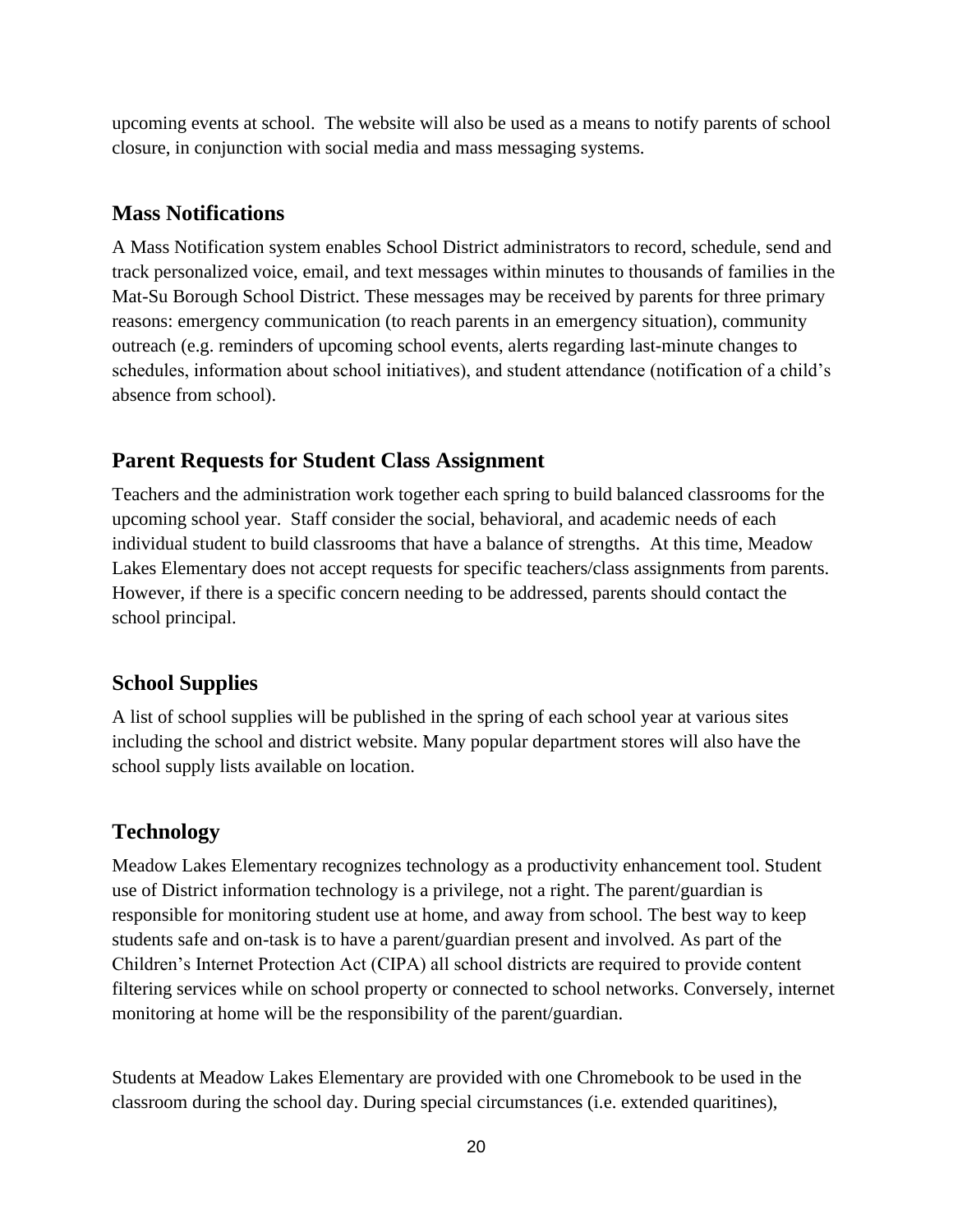upcoming events at school. The website will also be used as a means to notify parents of school closure, in conjunction with social media and mass messaging systems.

# **Mass Notifications**

A Mass Notification system enables School District administrators to record, schedule, send and track personalized voice, email, and text messages within minutes to thousands of families in the Mat-Su Borough School District. These messages may be received by parents for three primary reasons: emergency communication (to reach parents in an emergency situation), community outreach (e.g. reminders of upcoming school events, alerts regarding last-minute changes to schedules, information about school initiatives), and student attendance (notification of a child's absence from school).

# **Parent Requests for Student Class Assignment**

Teachers and the administration work together each spring to build balanced classrooms for the upcoming school year. Staff consider the social, behavioral, and academic needs of each individual student to build classrooms that have a balance of strengths. At this time, Meadow Lakes Elementary does not accept requests for specific teachers/class assignments from parents. However, if there is a specific concern needing to be addressed, parents should contact the school principal.

# **School Supplies**

A list of school supplies will be published in the spring of each school year at various sites including the school and district website. Many popular department stores will also have the school supply lists available on location.

# **Technology**

Meadow Lakes Elementary recognizes technology as a productivity enhancement tool. Student use of District information technology is a privilege, not a right. The parent/guardian is responsible for monitoring student use at home, and away from school. The best way to keep students safe and on-task is to have a parent/guardian present and involved. As part of the Children's Internet Protection Act (CIPA) all school districts are required to provide content filtering services while on school property or connected to school networks. Conversely, internet monitoring at home will be the responsibility of the parent/guardian.

Students at Meadow Lakes Elementary are provided with one Chromebook to be used in the classroom during the school day. During special circumstances (i.e. extended quaritines),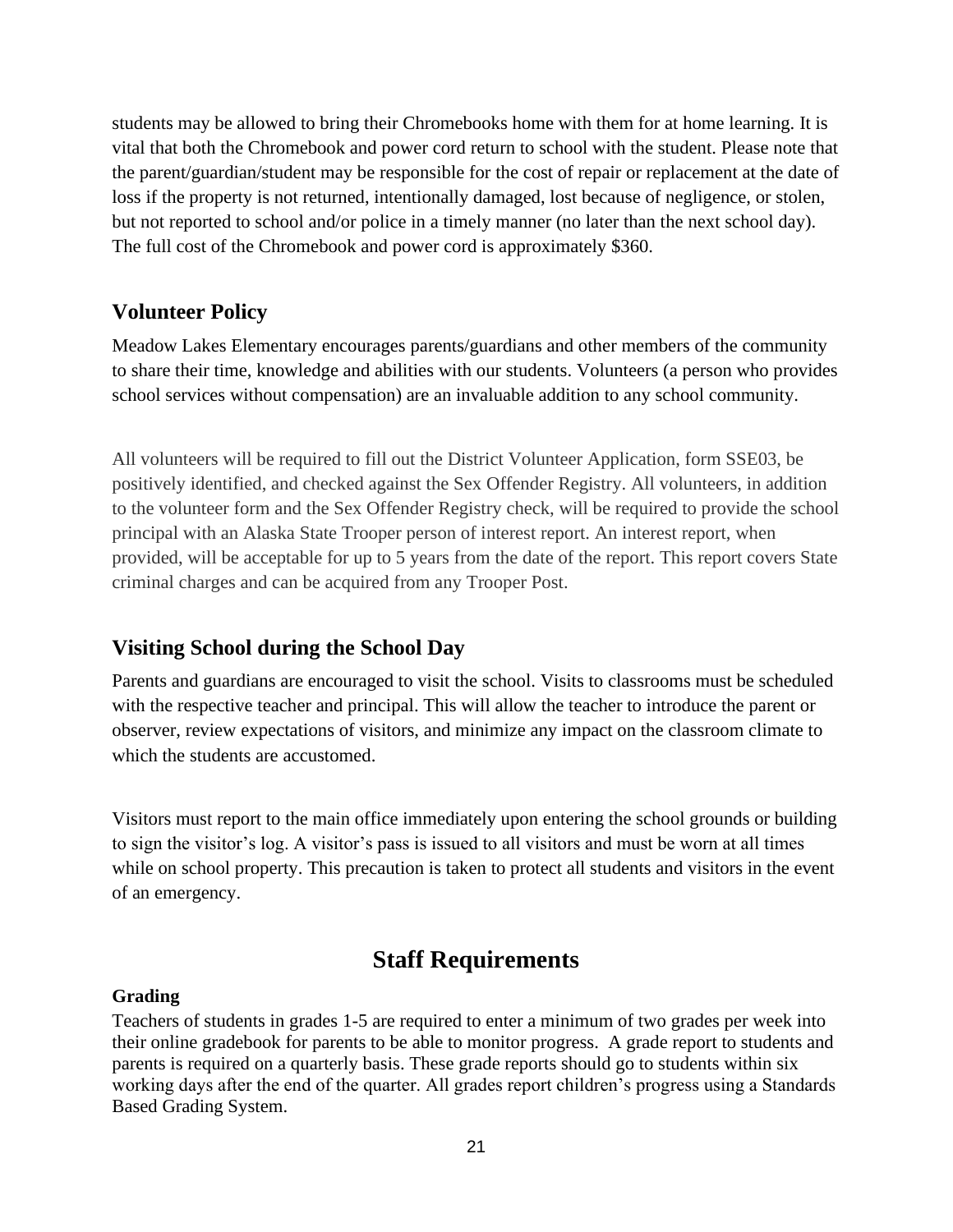students may be allowed to bring their Chromebooks home with them for at home learning. It is vital that both the Chromebook and power cord return to school with the student. Please note that the parent/guardian/student may be responsible for the cost of repair or replacement at the date of loss if the property is not returned, intentionally damaged, lost because of negligence, or stolen, but not reported to school and/or police in a timely manner (no later than the next school day). The full cost of the Chromebook and power cord is approximately \$360.

#### **Volunteer Policy**

Meadow Lakes Elementary encourages parents/guardians and other members of the community to share their time, knowledge and abilities with our students. Volunteers (a person who provides school services without compensation) are an invaluable addition to any school community.

All volunteers will be required to fill out the District Volunteer Application, form SSE03, be positively identified, and checked against the Sex Offender Registry. All volunteers, in addition to the volunteer form and the Sex Offender Registry check, will be required to provide the school principal with an Alaska State Trooper person of interest report. An interest report, when provided, will be acceptable for up to 5 years from the date of the report. This report covers State criminal charges and can be acquired from any Trooper Post.

## **Visiting School during the School Day**

Parents and guardians are encouraged to visit the school. Visits to classrooms must be scheduled with the respective teacher and principal. This will allow the teacher to introduce the parent or observer, review expectations of visitors, and minimize any impact on the classroom climate to which the students are accustomed.

Visitors must report to the main office immediately upon entering the school grounds or building to sign the visitor's log. A visitor's pass is issued to all visitors and must be worn at all times while on school property. This precaution is taken to protect all students and visitors in the event of an emergency.

# **Staff Requirements**

#### **Grading**

Teachers of students in grades 1-5 are required to enter a minimum of two grades per week into their online gradebook for parents to be able to monitor progress. A grade report to students and parents is required on a quarterly basis. These grade reports should go to students within six working days after the end of the quarter. All grades report children's progress using a Standards Based Grading System.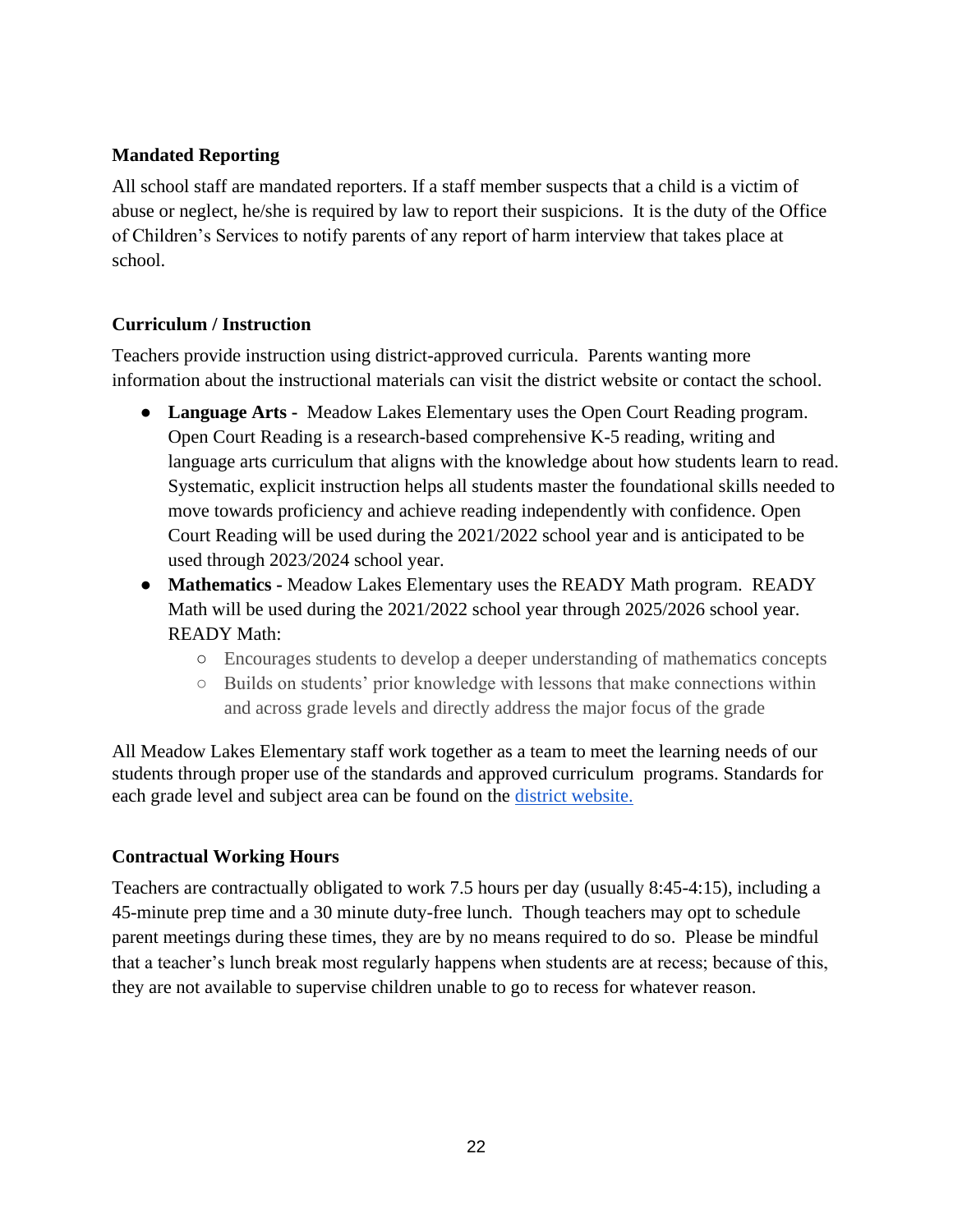#### **Mandated Reporting**

All school staff are mandated reporters. If a staff member suspects that a child is a victim of abuse or neglect, he/she is required by law to report their suspicions. It is the duty of the Office of Children's Services to notify parents of any report of harm interview that takes place at school.

#### **Curriculum / Instruction**

Teachers provide instruction using district-approved curricula. Parents wanting more information about the instructional materials can visit the district website or contact the school.

- **Language Arts -** Meadow Lakes Elementary uses the Open Court Reading program. Open Court Reading is a research-based comprehensive K-5 reading, writing and language arts curriculum that aligns with the knowledge about how students learn to read. Systematic, explicit instruction helps all students master the foundational skills needed to move towards proficiency and achieve reading independently with confidence. Open Court Reading will be used during the 2021/2022 school year and is anticipated to be used through 2023/2024 school year.
- **Mathematics** Meadow Lakes Elementary uses the READY Math program. READY Math will be used during the 2021/2022 school year through 2025/2026 school year. READY Math:
	- Encourages students to develop a deeper understanding of mathematics concepts
	- Builds on students' prior knowledge with lessons that make connections within and across grade levels and directly address the major focus of the grade

All Meadow Lakes Elementary staff work together as a team to meet the learning needs of our students through proper use of the standards and approved curriculum programs. Standards for each grade level and subject area can be found on the [district website.](https://www.matsuk12.us/Page/31575)

#### **Contractual Working Hours**

Teachers are contractually obligated to work 7.5 hours per day (usually 8:45-4:15), including a 45-minute prep time and a 30 minute duty-free lunch. Though teachers may opt to schedule parent meetings during these times, they are by no means required to do so. Please be mindful that a teacher's lunch break most regularly happens when students are at recess; because of this, they are not available to supervise children unable to go to recess for whatever reason.